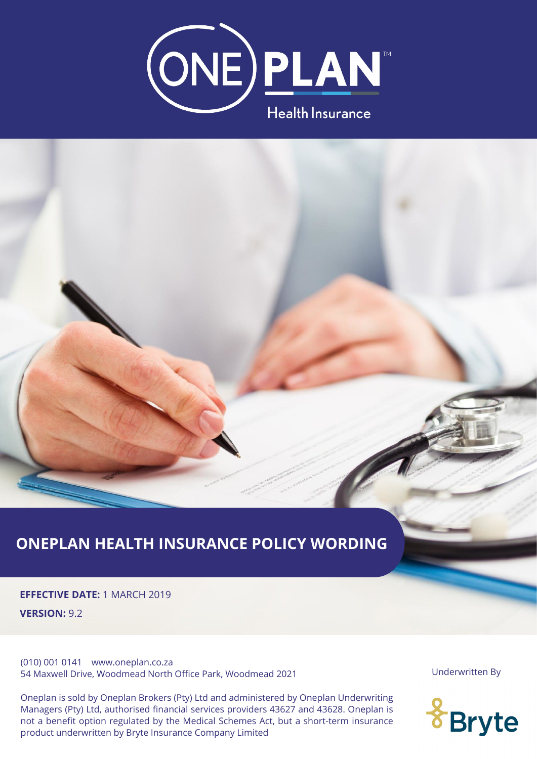



# **ONEPLAN HEALTH INSURANCE POLICY WORDING**

**EFFECTIVE DATE:** 1 MARCH 2019 **VERSION:** 9.2

(010) 001 0141 www.oneplan.co.za 54 Maxwell Drive, Woodmead North Office Park, Woodmead 2021

One option regarded by the medien Benefites riet, bat a short term institutes product underwritten by Bryte Insurance Company Limited<br>product underwritten by Bryte Insurance Company Limited Managers (Pty) Ltd, authorised financial services providers 43627 and 43628. Oneplan is not a benefit option regulated by the Medical Schemes Act, but a short-term insurance Oneplan is sold by Oneplan Brokers (Pty) Ltd and administered by Oneplan Underwriting

Underwritten By

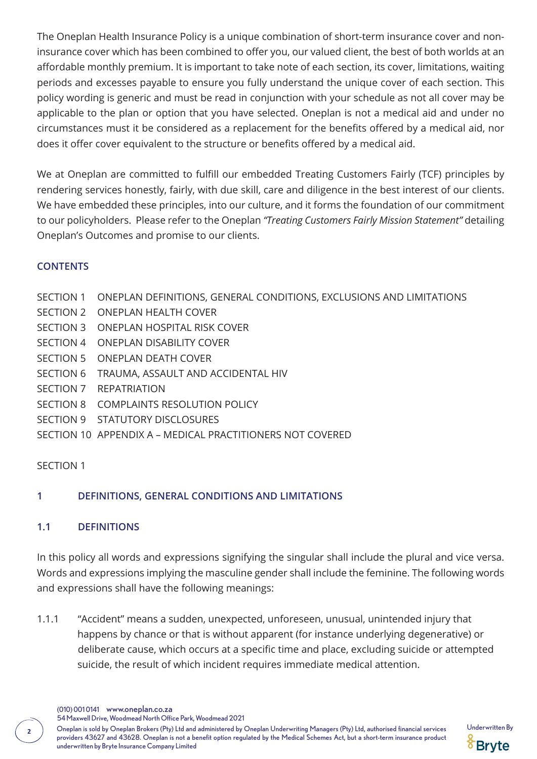The Oneplan Health Insurance Policy is a unique combination of short-term insurance cover and noninsurance cover which has been combined to offer you, our valued client, the best of both worlds at an affordable monthly premium. It is important to take note of each section, its cover, limitations, waiting periods and excesses payable to ensure you fully understand the unique cover of each section. This policy wording is generic and must be read in conjunction with your schedule as not all cover may be applicable to the plan or option that you have selected. Oneplan is not a medical aid and under no circumstances must it be considered as a replacement for the benefits offered by a medical aid, nor does it offer cover equivalent to the structure or benefits offered by a medical aid.

We at Oneplan are committed to fulfill our embedded Treating Customers Fairly (TCF) principles by rendering services honestly, fairly, with due skill, care and diligence in the best interest of our clients. We have embedded these principles, into our culture, and it forms the foundation of our commitment to our policyholders. Please refer to the Oneplan *"Treating Customers Fairly Mission Statement"* detailing Oneplan's Outcomes and promise to our clients.

### **CONTENTS**

- SECTION 1 ONEPLAN DEFINITIONS, GENERAL CONDITIONS, EXCLUSIONS AND LIMITATIONS
- SECTION 2 ONEPLAN HEALTH COVER
- SECTION 3 ONEPLAN HOSPITAL RISK COVER
- SECTION 4 ONEPLAN DISABILITY COVER
- SECTION 5 ONEPLAN DEATH COVER
- SECTION 6 TRAUMA, ASSAULT AND ACCIDENTAL HIV
- SECTION 7 REPATRIATION
- SECTION 8 COMPLAINTS RESOLUTION POLICY
- SECTION 9 STATUTORY DISCLOSURES
- SECTION 10 APPENDIX A MEDICAL PRACTITIONERS NOT COVERED

# SECTION 1

# **1 DEFINITIONS, GENERAL CONDITIONS AND LIMITATIONS**

# **1.1 DEFINITIONS**

In this policy all words and expressions signifying the singular shall include the plural and vice versa. Words and expressions implying the masculine gender shall include the feminine. The following words and expressions shall have the following meanings:

1.1.1 "Accident" means a sudden, unexpected, unforeseen, unusual, unintended injury that happens by chance or that is without apparent (for instance underlying degenerative) or deliberate cause, which occurs at a specific time and place, excluding suicide or attempted suicide, the result of which incident requires immediate medical attention.

(010) 001 0141 www.oneplan.co.za

54 Maxwell Drive, Woodmead North Office Park, Woodmead 2021

Oneplan is sold by Oneplan Brokers (Pty) Ltd and administered by Oneplan Underwriting Managers (Pty) Ltd, authorised financial services Underwritten By **<sup>2</sup>** providers 43627 and 43628. Oneplan is not a benefit option regulated by the Medical Schemes Act, but a short-term insurance product underwritten by Bryte Insurance Company Limited

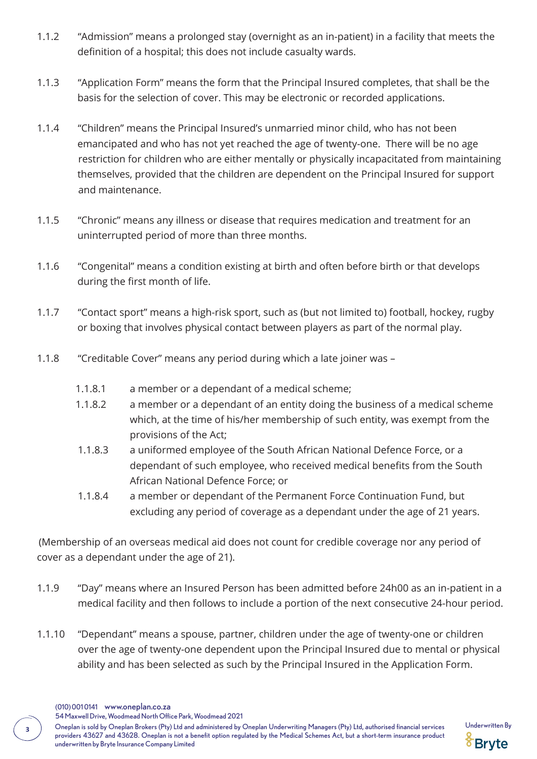- 1.1.2 "Admission" means a prolonged stay (overnight as an in-patient) in a facility that meets the definition of a hospital; this does not include casualty wards.
- 1.1.3 "Application Form" means the form that the Principal Insured completes, that shall be the basis for the selection of cover. This may be electronic or recorded applications.
- 1.1.4 "Children" means the Principal Insured's unmarried minor child, who has not been emancipated and who has not yet reached the age of twenty-one. There will be no age restriction for children who are either mentally or physically incapacitated from maintaining themselves, provided that the children are dependent on the Principal Insured for support and maintenance.
- 1.1.5 "Chronic" means any illness or disease that requires medication and treatment for an uninterrupted period of more than three months.
- 1.1.6 "Congenital" means a condition existing at birth and often before birth or that develops during the first month of life.
- 1.1.7 "Contact sport" means a high-risk sport, such as (but not limited to) football, hockey, rugby or boxing that involves physical contact between players as part of the normal play.
- 1.1.8 "Creditable Cover" means any period during which a late joiner was
	- 1.1.8.1 a member or a dependant of a medical scheme;
	- 1.1.8.2 a member or a dependant of an entity doing the business of a medical scheme which, at the time of his/her membership of such entity, was exempt from the provisions of the Act;
	- 1.1.8.3 a uniformed employee of the South African National Defence Force, or a dependant of such employee, who received medical benefits from the South African National Defence Force; or
	- 1.1.8.4 a member or dependant of the Permanent Force Continuation Fund, but excluding any period of coverage as a dependant under the age of 21 years.

(Membership of an overseas medical aid does not count for credible coverage nor any period of cover as a dependant under the age of 21).

- 1.1.9 "Day" means where an Insured Person has been admitted before 24h00 as an in-patient in a medical facility and then follows to include a portion of the next consecutive 24-hour period.
- 1.1.10 "Dependant" means a spouse, partner, children under the age of twenty-one or children over the age of twenty-one dependent upon the Principal Insured due to mental or physical ability and has been selected as such by the Principal Insured in the Application Form.

54 Maxwell Drive, Woodmead North Office Park, Woodmead 2021

Oneplan is sold by Oneplan Brokers (Pty) Ltd and administered by Oneplan Underwriting Managers (Pty) Ltd, authorised financial services Underwritten By **<sup>3</sup>** providers 43627 and 43628. Oneplan is not a benefit option regulated by the Medical Schemes Act, but a short-term insurance product underwritten by Bryte Insurance Company Limited



<sup>(010) 001 0141</sup> www.oneplan.co.za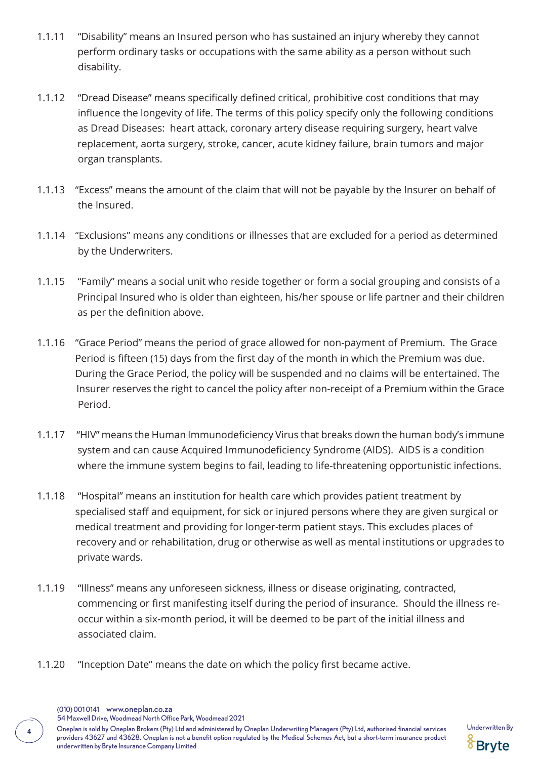- 1.1.11 "Disability" means an Insured person who has sustained an injury whereby they cannot perform ordinary tasks or occupations with the same ability as a person without such disability.
- 1.1.12 "Dread Disease" means specifically defined critical, prohibitive cost conditions that may influence the longevity of life. The terms of this policy specify only the following conditions as Dread Diseases: heart attack, coronary artery disease requiring surgery, heart valve replacement, aorta surgery, stroke, cancer, acute kidney failure, brain tumors and major organ transplants.
- 1.1.13 "Excess" means the amount of the claim that will not be payable by the Insurer on behalf of the Insured.
- 1.1.14 "Exclusions" means any conditions or illnesses that are excluded for a period as determined by the Underwriters.
- 1.1.15 "Family" means a social unit who reside together or form a social grouping and consists of a Principal Insured who is older than eighteen, his/her spouse or life partner and their children as per the definition above.
- 1.1.16 "Grace Period" means the period of grace allowed for non-payment of Premium. The Grace Period is fifteen (15) days from the first day of the month in which the Premium was due. During the Grace Period, the policy will be suspended and no claims will be entertained. The Insurer reserves the right to cancel the policy after non-receipt of a Premium within the Grace Period.
- 1.1.17 "HIV" means the Human Immunodeficiency Virus that breaks down the human body's immune system and can cause Acquired Immunodeficiency Syndrome (AIDS). AIDS is a condition where the immune system begins to fail, leading to life-threatening opportunistic infections.
- 1.1.18 "Hospital" means an institution for health care which provides patient treatment by specialised staff and equipment, for sick or injured persons where they are given surgical or medical treatment and providing for longer-term patient stays. This excludes places of recovery and or rehabilitation, drug or otherwise as well as mental institutions or upgrades to private wards.
- 1.1.19 "Illness" means any unforeseen sickness, illness or disease originating, contracted, commencing or first manifesting itself during the period of insurance. Should the illness re occur within a six-month period, it will be deemed to be part of the initial illness and associated claim.
- 1.1.20 "Inception Date" means the date on which the policy first became active.

54 Maxwell Drive, Woodmead North Office Park, Woodmead 2021

Oneplan is sold by Oneplan Brokers (Pty) Ltd and administered by Oneplan Underwriting Managers (Pty) Ltd, authorised financial services Underwritten By **<sup>4</sup>** providers 43627 and 43628. Oneplan is not a benefit option regulated by the Medical Schemes Act, but a short-term insurance product underwritten by Bryte Insurance Company Limited

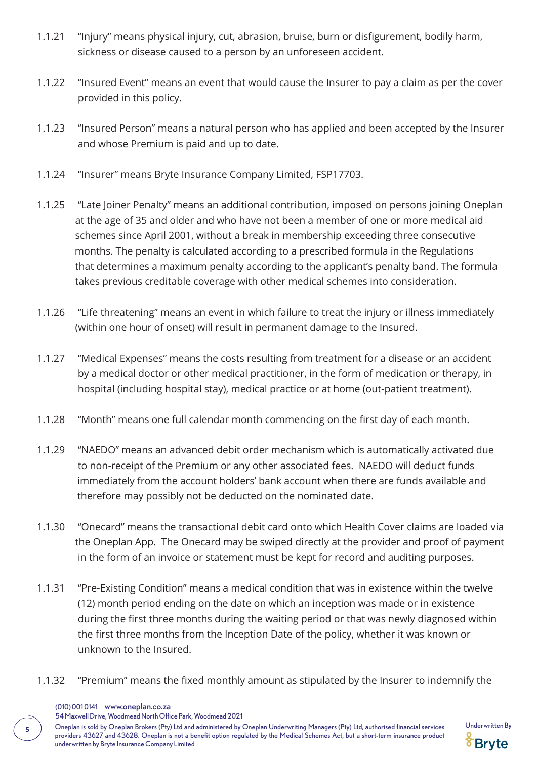- 1.1.21 "Injury" means physical injury, cut, abrasion, bruise, burn or disfigurement, bodily harm, sickness or disease caused to a person by an unforeseen accident.
- 1.1.22 "Insured Event" means an event that would cause the Insurer to pay a claim as per the cover provided in this policy.
- 1.1.23 "Insured Person" means a natural person who has applied and been accepted by the Insurer and whose Premium is paid and up to date.
- 1.1.24 "Insurer" means Bryte Insurance Company Limited, FSP17703.
- 1.1.25 "Late Joiner Penalty" means an additional contribution, imposed on persons joining Oneplan at the age of 35 and older and who have not been a member of one or more medical aid schemes since April 2001, without a break in membership exceeding three consecutive months. The penalty is calculated according to a prescribed formula in the Regulations that determines a maximum penalty according to the applicant's penalty band. The formula takes previous creditable coverage with other medical schemes into consideration.
- 1.1.26 "Life threatening" means an event in which failure to treat the injury or illness immediately (within one hour of onset) will result in permanent damage to the Insured.
- 1.1.27 "Medical Expenses" means the costs resulting from treatment for a disease or an accident by a medical doctor or other medical practitioner, in the form of medication or therapy, in hospital (including hospital stay), medical practice or at home (out-patient treatment).
- 1.1.28 "Month" means one full calendar month commencing on the first day of each month.
- 1.1.29 "NAEDO" means an advanced debit order mechanism which is automatically activated due to non-receipt of the Premium or any other associated fees. NAEDO will deduct funds immediately from the account holders' bank account when there are funds available and therefore may possibly not be deducted on the nominated date.
- 1.1.30 "Onecard" means the transactional debit card onto which Health Cover claims are loaded via the Oneplan App. The Onecard may be swiped directly at the provider and proof of payment in the form of an invoice or statement must be kept for record and auditing purposes.
- 1.1.31 "Pre-Existing Condition" means a medical condition that was in existence within the twelve (12) month period ending on the date on which an inception was made or in existence during the first three months during the waiting period or that was newly diagnosed within the first three months from the Inception Date of the policy, whether it was known or unknown to the Insured.
- 1.1.32 "Premium" means the fixed monthly amount as stipulated by the Insurer to indemnify the

54 Maxwell Drive, Woodmead North Office Park, Woodmead 2021

Oneplan is sold by Oneplan Brokers (Pty) Ltd and administered by Oneplan Underwriting Managers (Pty) Ltd, authorised financial services Underwritten By **<sup>5</sup>** providers 43627 and 43628. Oneplan is not a benefit option regulated by the Medical Schemes Act, but a short-term insurance product underwritten by Bryte Insurance Company Limited



<sup>(010) 001 0141</sup> www.oneplan.co.za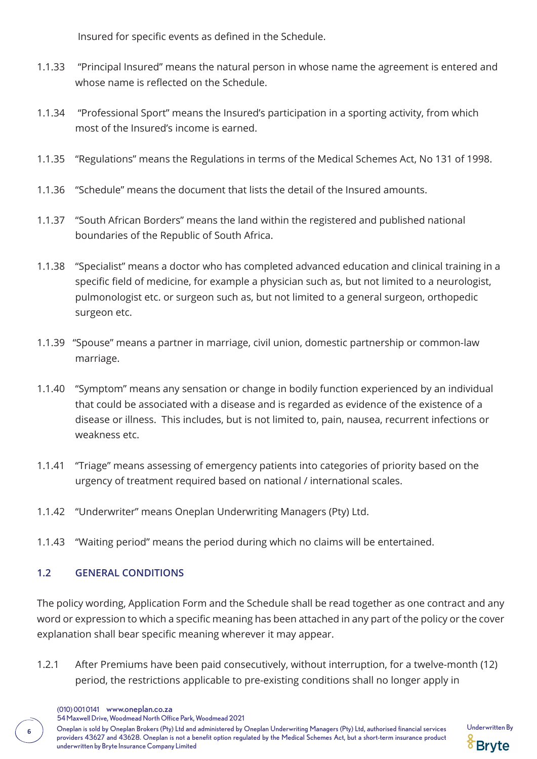Insured for specific events as defined in the Schedule.

- 1.1.33 "Principal Insured" means the natural person in whose name the agreement is entered and whose name is reflected on the Schedule.
- 1.1.34 "Professional Sport" means the Insured's participation in a sporting activity, from which most of the Insured's income is earned.
- 1.1.35 "Regulations" means the Regulations in terms of the Medical Schemes Act, No 131 of 1998.
- 1.1.36 "Schedule" means the document that lists the detail of the Insured amounts.
- 1.1.37 "South African Borders" means the land within the registered and published national boundaries of the Republic of South Africa.
- 1.1.38 "Specialist" means a doctor who has completed advanced education and clinical training in a specific field of medicine, for example a physician such as, but not limited to a neurologist, pulmonologist etc. or surgeon such as, but not limited to a general surgeon, orthopedic surgeon etc.
- 1.1.39 "Spouse" means a partner in marriage, civil union, domestic partnership or common-law marriage.
- 1.1.40 "Symptom" means any sensation or change in bodily function experienced by an individual that could be associated with a disease and is regarded as evidence of the existence of a disease or illness. This includes, but is not limited to, pain, nausea, recurrent infections or weakness etc.
- 1.1.41 "Triage" means assessing of emergency patients into categories of priority based on the urgency of treatment required based on national / international scales.
- 1.1.42 "Underwriter" means Oneplan Underwriting Managers (Pty) Ltd.
- 1.1.43 "Waiting period" means the period during which no claims will be entertained.

# **1.2 GENERAL CONDITIONS**

The policy wording, Application Form and the Schedule shall be read together as one contract and any word or expression to which a specific meaning has been attached in any part of the policy or the cover explanation shall bear specific meaning wherever it may appear.

- 1.2.1 After Premiums have been paid consecutively, without interruption, for a twelve-month (12) period, the restrictions applicable to pre-existing conditions shall no longer apply in
	- (010) 001 0141 www.oneplan.co.za

54 Maxwell Drive, Woodmead North Office Park, Woodmead 2021

Oneplan is sold by Oneplan Brokers (Pty) Ltd and administered by Oneplan Underwriting Managers (Pty) Ltd, authorised financial services Underwritten By **<sup>6</sup>** providers 43627 and 43628. Oneplan is not a benefit option regulated by the Medical Schemes Act, but a short-term insurance product underwritten by Bryte Insurance Company Limited

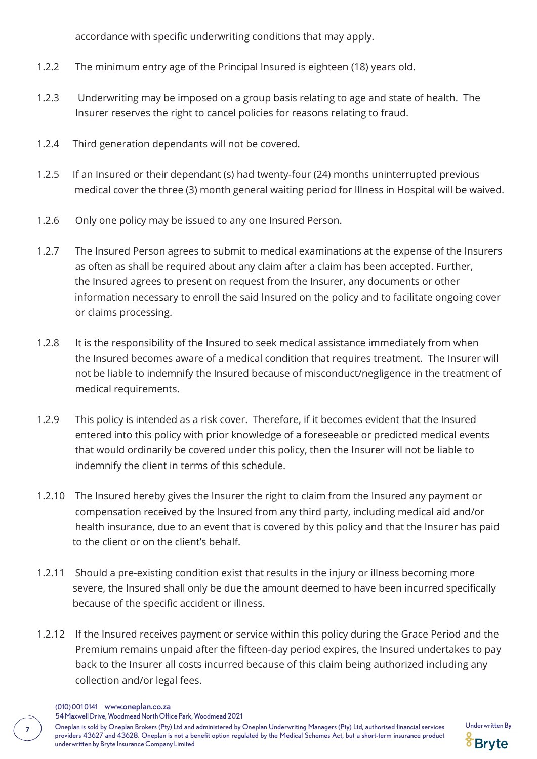accordance with specific underwriting conditions that may apply.

- 1.2.2 The minimum entry age of the Principal Insured is eighteen (18) years old.
- 1.2.3 Underwriting may be imposed on a group basis relating to age and state of health. The Insurer reserves the right to cancel policies for reasons relating to fraud.
- 1.2.4 Third generation dependants will not be covered.
- 1.2.5 If an Insured or their dependant (s) had twenty-four (24) months uninterrupted previous medical cover the three (3) month general waiting period for Illness in Hospital will be waived.
- 1.2.6 Only one policy may be issued to any one Insured Person.
- 1.2.7 The Insured Person agrees to submit to medical examinations at the expense of the Insurers as often as shall be required about any claim after a claim has been accepted. Further, the Insured agrees to present on request from the Insurer, any documents or other information necessary to enroll the said Insured on the policy and to facilitate ongoing cover or claims processing.
- 1.2.8 It is the responsibility of the Insured to seek medical assistance immediately from when the Insured becomes aware of a medical condition that requires treatment. The Insurer will not be liable to indemnify the Insured because of misconduct/negligence in the treatment of medical requirements.
- 1.2.9 This policy is intended as a risk cover. Therefore, if it becomes evident that the Insured entered into this policy with prior knowledge of a foreseeable or predicted medical events that would ordinarily be covered under this policy, then the Insurer will not be liable to indemnify the client in terms of this schedule.
- 1.2.10 The Insured hereby gives the Insurer the right to claim from the Insured any payment or compensation received by the Insured from any third party, including medical aid and/or health insurance, due to an event that is covered by this policy and that the Insurer has paid to the client or on the client's behalf.
- 1.2.11 Should a pre-existing condition exist that results in the injury or illness becoming more severe, the Insured shall only be due the amount deemed to have been incurred specifically because of the specific accident or illness.
- 1.2.12 If the Insured receives payment or service within this policy during the Grace Period and the Premium remains unpaid after the fifteen-day period expires, the Insured undertakes to pay back to the Insurer all costs incurred because of this claim being authorized including any collection and/or legal fees.
	- (010) 001 0141 www.oneplan.co.za

54 Maxwell Drive, Woodmead North Office Park, Woodmead 2021

Oneplan is sold by Oneplan Brokers (Pty) Ltd and administered by Oneplan Underwriting Managers (Pty) Ltd, authorised financial services Underwritten By **<sup>7</sup>** providers 43627 and 43628. Oneplan is not a benefit option regulated by the Medical Schemes Act, but a short-term insurance product underwritten by Bryte Insurance Company Limited

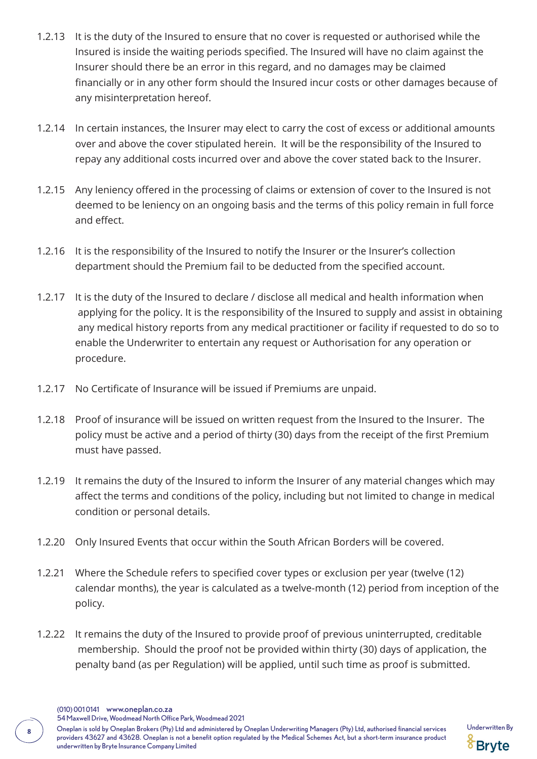- 1.2.13 It is the duty of the Insured to ensure that no cover is requested or authorised while the Insured is inside the waiting periods specified. The Insured will have no claim against the Insurer should there be an error in this regard, and no damages may be claimed financially or in any other form should the Insured incur costs or other damages because of any misinterpretation hereof.
- 1.2.14 In certain instances, the Insurer may elect to carry the cost of excess or additional amounts over and above the cover stipulated herein. It will be the responsibility of the Insured to repay any additional costs incurred over and above the cover stated back to the Insurer.
- 1.2.15 Any leniency offered in the processing of claims or extension of cover to the Insured is not deemed to be leniency on an ongoing basis and the terms of this policy remain in full force and effect.
- 1.2.16 It is the responsibility of the Insured to notify the Insurer or the Insurer's collection department should the Premium fail to be deducted from the specified account.
- 1.2.17 It is the duty of the Insured to declare / disclose all medical and health information when applying for the policy. It is the responsibility of the Insured to supply and assist in obtaining any medical history reports from any medical practitioner or facility if requested to do so to enable the Underwriter to entertain any request or Authorisation for any operation or procedure.
- 1.2.17 No Certificate of Insurance will be issued if Premiums are unpaid.
- 1.2.18 Proof of insurance will be issued on written request from the Insured to the Insurer. The policy must be active and a period of thirty (30) days from the receipt of the first Premium must have passed.
- 1.2.19 It remains the duty of the Insured to inform the Insurer of any material changes which may affect the terms and conditions of the policy, including but not limited to change in medical condition or personal details.
- 1.2.20 Only Insured Events that occur within the South African Borders will be covered.
- 1.2.21 Where the Schedule refers to specified cover types or exclusion per year (twelve (12) calendar months), the year is calculated as a twelve-month (12) period from inception of the policy.
- 1.2.22 It remains the duty of the Insured to provide proof of previous uninterrupted, creditable membership. Should the proof not be provided within thirty (30) days of application, the penalty band (as per Regulation) will be applied, until such time as proof is submitted.

54 Maxwell Drive, Woodmead North Office Park, Woodmead 2021

8 **Oneplan is sold by Oneplan Brokers (Pty)** Ltd and administered by Oneplan Underwriting Managers (Pty) Ltd, authorised financial services Underwritten By providers 43627 and 43628. Oneplan is not a benefit option regulated by the Medical Schemes Act, but a short-term insurance product underwritten by Bryte Insurance Company Limited



<sup>(010) 001 0141</sup> www.oneplan.co.za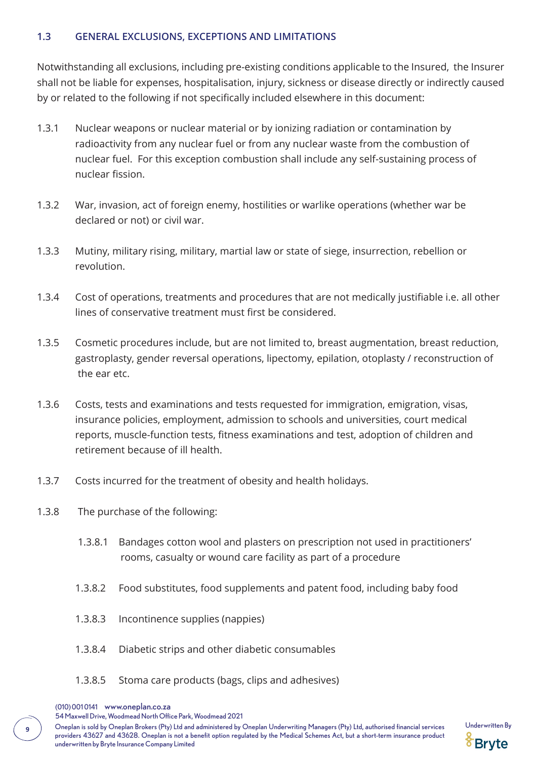#### **1.3 GENERAL EXCLUSIONS, EXCEPTIONS AND LIMITATIONS**

Notwithstanding all exclusions, including pre-existing conditions applicable to the Insured, the Insurer shall not be liable for expenses, hospitalisation, injury, sickness or disease directly or indirectly caused by or related to the following if not specifically included elsewhere in this document:

- 1.3.1 Nuclear weapons or nuclear material or by ionizing radiation or contamination by radioactivity from any nuclear fuel or from any nuclear waste from the combustion of nuclear fuel. For this exception combustion shall include any self-sustaining process of nuclear fission.
- 1.3.2 War, invasion, act of foreign enemy, hostilities or warlike operations (whether war be declared or not) or civil war.
- 1.3.3 Mutiny, military rising, military, martial law or state of siege, insurrection, rebellion or revolution.
- 1.3.4 Cost of operations, treatments and procedures that are not medically justifiable i.e. all other lines of conservative treatment must first be considered.
- 1.3.5 Cosmetic procedures include, but are not limited to, breast augmentation, breast reduction, gastroplasty, gender reversal operations, lipectomy, epilation, otoplasty / reconstruction of the ear etc.
- 1.3.6 Costs, tests and examinations and tests requested for immigration, emigration, visas, insurance policies, employment, admission to schools and universities, court medical reports, muscle-function tests, fitness examinations and test, adoption of children and retirement because of ill health.
- 1.3.7 Costs incurred for the treatment of obesity and health holidays.
- 1.3.8 The purchase of the following:
	- 1.3.8.1 Bandages cotton wool and plasters on prescription not used in practitioners' rooms, casualty or wound care facility as part of a procedure
	- 1.3.8.2 Food substitutes, food supplements and patent food, including baby food
	- 1.3.8.3 Incontinence supplies (nappies)
	- 1.3.8.4 Diabetic strips and other diabetic consumables
	- 1.3.8.5 Stoma care products (bags, clips and adhesives)
	- (010) 001 0141 www.oneplan.co.za

54 Maxwell Drive, Woodmead North Office Park, Woodmead 2021

Oneplan is sold by Oneplan Brokers (Pty) Ltd and administered by Oneplan Underwriting Managers (Pty) Ltd, authorised financial services Underwritten By **<sup>9</sup>** providers 43627 and 43628. Oneplan is not a benefit option regulated by the Medical Schemes Act, but a short-term insurance product underwritten by Bryte Insurance Company Limited

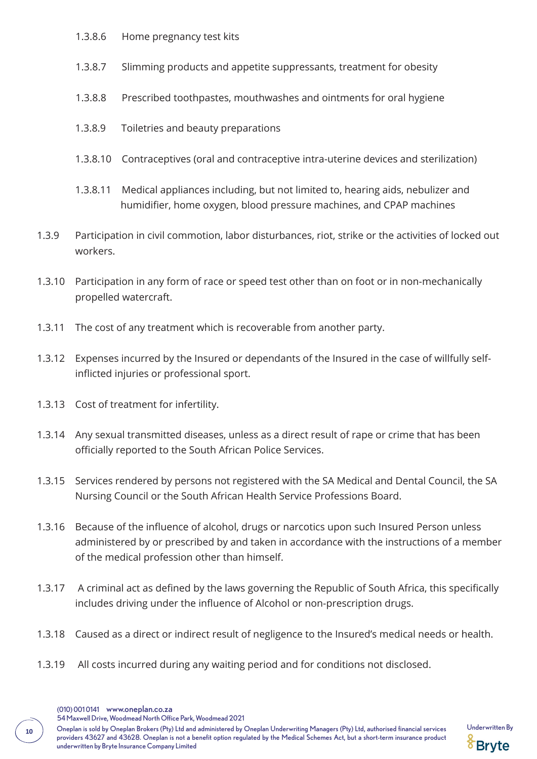- 1.3.8.6 Home pregnancy test kits
- 1.3.8.7 Slimming products and appetite suppressants, treatment for obesity
- 1.3.8.8 Prescribed toothpastes, mouthwashes and ointments for oral hygiene
- 1.3.8.9 Toiletries and beauty preparations
- 1.3.8.10 Contraceptives (oral and contraceptive intra-uterine devices and sterilization)
- 1.3.8.11 Medical appliances including, but not limited to, hearing aids, nebulizer and humidifier, home oxygen, blood pressure machines, and CPAP machines
- 1.3.9 Participation in civil commotion, labor disturbances, riot, strike or the activities of locked out workers.
- 1.3.10 Participation in any form of race or speed test other than on foot or in non-mechanically propelled watercraft.
- 1.3.11 The cost of any treatment which is recoverable from another party.
- 1.3.12 Expenses incurred by the Insured or dependants of the Insured in the case of willfully self inflicted injuries or professional sport.
- 1.3.13 Cost of treatment for infertility.
- 1.3.14 Any sexual transmitted diseases, unless as a direct result of rape or crime that has been officially reported to the South African Police Services.
- 1.3.15 Services rendered by persons not registered with the SA Medical and Dental Council, the SA Nursing Council or the South African Health Service Professions Board.
- 1.3.16 Because of the influence of alcohol, drugs or narcotics upon such Insured Person unless administered by or prescribed by and taken in accordance with the instructions of a member of the medical profession other than himself.
- 1.3.17 A criminal act as defined by the laws governing the Republic of South Africa, this specifically includes driving under the influence of Alcohol or non-prescription drugs.
- 1.3.18 Caused as a direct or indirect result of negligence to the Insured's medical needs or health.
- 1.3.19 All costs incurred during any waiting period and for conditions not disclosed.
	- (010) 001 0141 www.oneplan.co.za
	- 54 Maxwell Drive, Woodmead North Office Park, Woodmead 2021
- Oneplan is sold by Oneplan Brokers (Pty) Ltd and administered by Oneplan Underwriting Managers (Pty) Ltd, authorised financial services Underwritten By **<sup>10</sup>** providers 43627 and 43628. Oneplan is not a benefit option regulated by the Medical Schemes Act, but a short-term insurance product underwritten by Bryte Insurance Company Limited

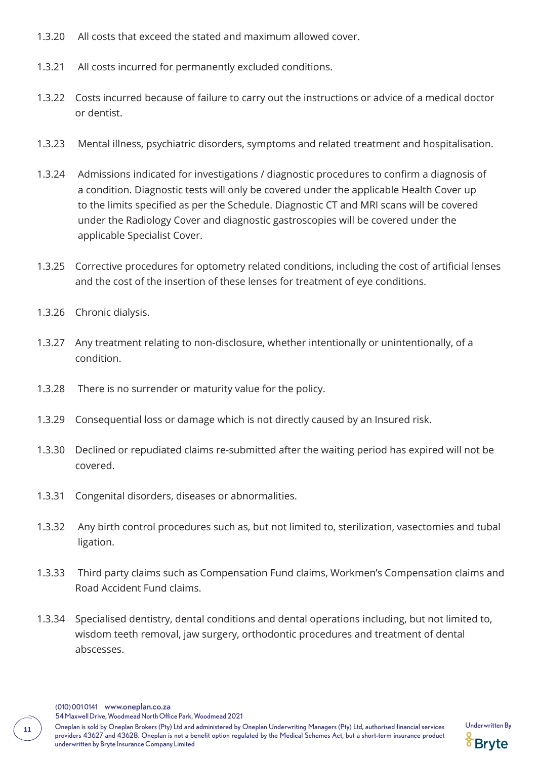- 1.3.20 All costs that exceed the stated and maximum allowed cover.
- 1.3.21 All costs incurred for permanently excluded conditions.
- 1.3.22 Costs incurred because of failure to carry out the instructions or advice of a medical doctor or dentist.
- 1.3.23 Mental illness, psychiatric disorders, symptoms and related treatment and hospitalisation.
- 1.3.24 Admissions indicated for investigations / diagnostic procedures to confirm a diagnosis of a condition. Diagnostic tests will only be covered under the applicable Health Cover up to the limits specified as per the Schedule. Diagnostic CT and MRI scans will be covered under the Radiology Cover and diagnostic gastroscopies will be covered under the applicable Specialist Cover.
- 1.3.25 Corrective procedures for optometry related conditions, including the cost of artificial lenses and the cost of the insertion of these lenses for treatment of eye conditions.
- 1.3.26 Chronic dialysis.
- 1.3.27 Any treatment relating to non-disclosure, whether intentionally or unintentionally, of a condition.
- 1.3.28 There is no surrender or maturity value for the policy.
- 1.3.29 Consequential loss or damage which is not directly caused by an Insured risk.
- 1.3.30 Declined or repudiated claims re-submitted after the waiting period has expired will not be covered.
- 1.3.31 Congenital disorders, diseases or abnormalities.
- 1.3.32 Any birth control procedures such as, but not limited to, sterilization, vasectomies and tubal ligation.
- 1.3.33 Third party claims such as Compensation Fund claims, Workmen's Compensation claims and Road Accident Fund claims.
- 1.3.34 Specialised dentistry, dental conditions and dental operations including, but not limited to, wisdom teeth removal, jaw surgery, orthodontic procedures and treatment of dental abscesses.

(010) 001 0141 www.oneplan.co.za

54 Maxwell Drive, Woodmead North Office Park, Woodmead 2021

11 Oneplan is sold by Oneplan Brokers (Pty) Ltd and administered by Oneplan Underwriting Managers (Pty) Ltd, authorised financial services Underwritten By **11<sup>1</sup>** providers 43627 and 43628. Oneplan is not a benefit option regulated by the Medical Schemes Act, but a short-term insurance product underwritten by Bryte Insurance Company Limited

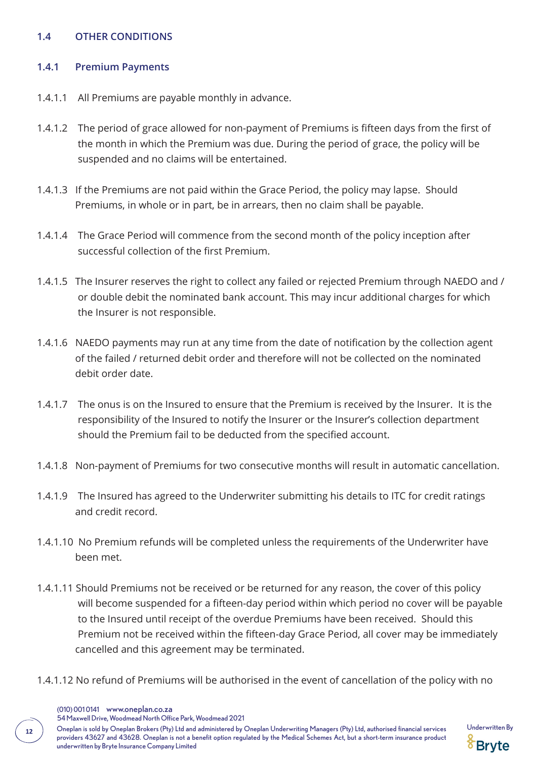### **1.4 OTHER CONDITIONS**

#### **1.4.1 Premium Payments**

- 1.4.1.1 All Premiums are payable monthly in advance.
- 1.4.1.2 The period of grace allowed for non-payment of Premiums is fifteen days from the first of the month in which the Premium was due. During the period of grace, the policy will be suspended and no claims will be entertained.
- 1.4.1.3 If the Premiums are not paid within the Grace Period, the policy may lapse. Should Premiums, in whole or in part, be in arrears, then no claim shall be payable.
- 1.4.1.4 The Grace Period will commence from the second month of the policy inception after successful collection of the first Premium.
- 1.4.1.5 The Insurer reserves the right to collect any failed or rejected Premium through NAEDO and / or double debit the nominated bank account. This may incur additional charges for which the Insurer is not responsible.
- 1.4.1.6 NAEDO payments may run at any time from the date of notification by the collection agent of the failed / returned debit order and therefore will not be collected on the nominated debit order date.
- 1.4.1.7 The onus is on the Insured to ensure that the Premium is received by the Insurer. It is the responsibility of the Insured to notify the Insurer or the Insurer's collection department should the Premium fail to be deducted from the specified account.
- 1.4.1.8 Non-payment of Premiums for two consecutive months will result in automatic cancellation.
- 1.4.1.9 The Insured has agreed to the Underwriter submitting his details to ITC for credit ratings and credit record.
- 1.4.1.10 No Premium refunds will be completed unless the requirements of the Underwriter have been met.
- 1.4.1.11 Should Premiums not be received or be returned for any reason, the cover of this policy will become suspended for a fifteen-day period within which period no cover will be payable to the Insured until receipt of the overdue Premiums have been received. Should this Premium not be received within the fifteen-day Grace Period, all cover may be immediately cancelled and this agreement may be terminated.
- 1.4.1.12 No refund of Premiums will be authorised in the event of cancellation of the policy with no

(010) 001 0141 www.oneplan.co.za

54 Maxwell Drive, Woodmead North Office Park, Woodmead 2021

12 Oneplan is sold by Oneplan Brokers (Pty) Ltd and administered by Oneplan Underwriting Managers (Pty) Ltd, authorised financial services Underwritten By providers 43627 and 43628. Oneplan is not a benefit option regulated by the Medical Schemes Act, but a short-term insurance product underwritten by Bryte Insurance Company Limited

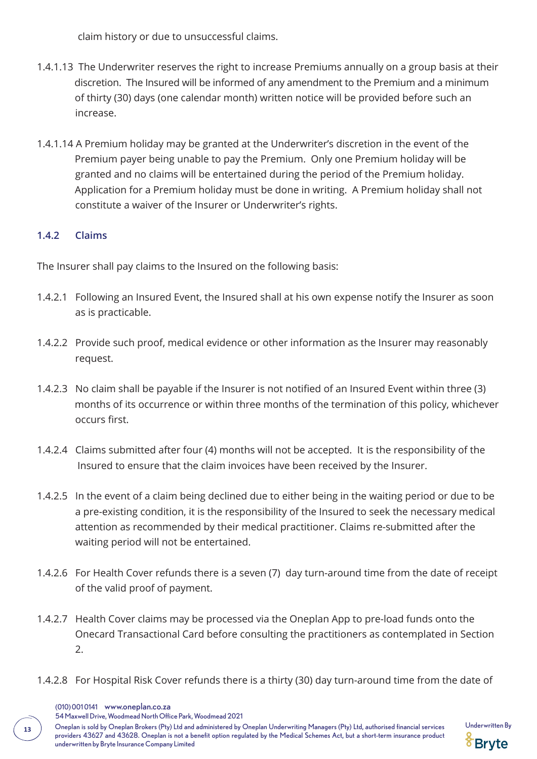claim history or due to unsuccessful claims.

- 1.4.1.13 The Underwriter reserves the right to increase Premiums annually on a group basis at their discretion. The Insured will be informed of any amendment to the Premium and a minimum of thirty (30) days (one calendar month) written notice will be provided before such an increase.
- 1.4.1.14 A Premium holiday may be granted at the Underwriter's discretion in the event of the Premium payer being unable to pay the Premium. Only one Premium holiday will be granted and no claims will be entertained during the period of the Premium holiday. Application for a Premium holiday must be done in writing. A Premium holiday shall not constitute a waiver of the Insurer or Underwriter's rights.

### **1.4.2 Claims**

The Insurer shall pay claims to the Insured on the following basis:

- 1.4.2.1 Following an Insured Event, the Insured shall at his own expense notify the Insurer as soon as is practicable.
- 1.4.2.2 Provide such proof, medical evidence or other information as the Insurer may reasonably request.
- 1.4.2.3 No claim shall be payable if the Insurer is not notified of an Insured Event within three (3) months of its occurrence or within three months of the termination of this policy, whichever occurs first.
- 1.4.2.4 Claims submitted after four (4) months will not be accepted. It is the responsibility of the Insured to ensure that the claim invoices have been received by the Insurer.
- 1.4.2.5 In the event of a claim being declined due to either being in the waiting period or due to be a pre-existing condition, it is the responsibility of the Insured to seek the necessary medical attention as recommended by their medical practitioner. Claims re-submitted after the waiting period will not be entertained.
- 1.4.2.6 For Health Cover refunds there is a seven (7) day turn-around time from the date of receipt of the valid proof of payment.
- 1.4.2.7 Health Cover claims may be processed via the Oneplan App to pre-load funds onto the Onecard Transactional Card before consulting the practitioners as contemplated in Section 2.
- 1.4.2.8 For Hospital Risk Cover refunds there is a thirty (30) day turn-around time from the date of

54 Maxwell Drive, Woodmead North Office Park, Woodmead 2021

Oneplan is sold by Oneplan Brokers (Pty) Ltd and administered by Oneplan Underwriting Managers (Pty) Ltd, authorised financial services Underwritten By **<sup>13</sup>** providers 43627 and 43628. Oneplan is not a benefit option regulated by the Medical Schemes Act, but a short-term insurance product underwritten by Bryte Insurance Company Limited



<sup>(010) 001 0141</sup> www.oneplan.co.za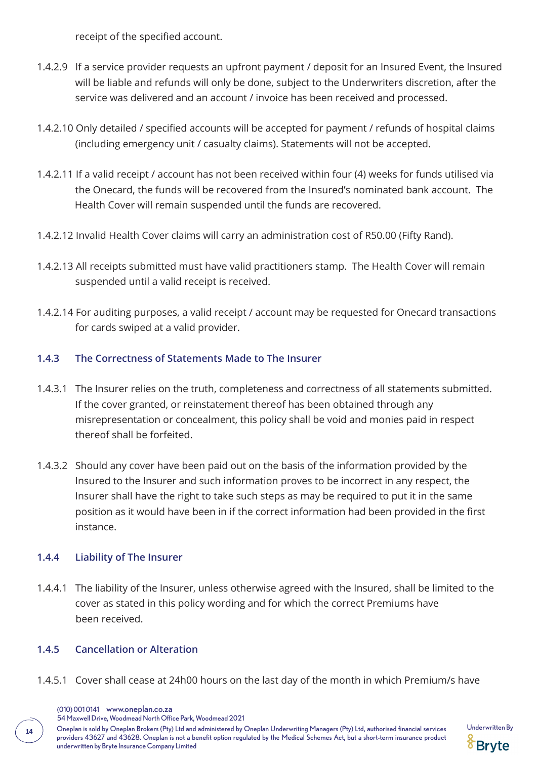receipt of the specified account.

- 1.4.2.9 If a service provider requests an upfront payment / deposit for an Insured Event, the Insured will be liable and refunds will only be done, subject to the Underwriters discretion, after the service was delivered and an account / invoice has been received and processed.
- 1.4.2.10 Only detailed / specified accounts will be accepted for payment / refunds of hospital claims (including emergency unit / casualty claims). Statements will not be accepted.
- 1.4.2.11 If a valid receipt / account has not been received within four (4) weeks for funds utilised via the Onecard, the funds will be recovered from the Insured's nominated bank account. The Health Cover will remain suspended until the funds are recovered.
- 1.4.2.12 Invalid Health Cover claims will carry an administration cost of R50.00 (Fifty Rand).
- 1.4.2.13 All receipts submitted must have valid practitioners stamp. The Health Cover will remain suspended until a valid receipt is received.
- 1.4.2.14 For auditing purposes, a valid receipt / account may be requested for Onecard transactions for cards swiped at a valid provider.

# **1.4.3 The Correctness of Statements Made to The Insurer**

- 1.4.3.1 The Insurer relies on the truth, completeness and correctness of all statements submitted. If the cover granted, or reinstatement thereof has been obtained through any misrepresentation or concealment, this policy shall be void and monies paid in respect thereof shall be forfeited.
- 1.4.3.2 Should any cover have been paid out on the basis of the information provided by the Insured to the Insurer and such information proves to be incorrect in any respect, the Insurer shall have the right to take such steps as may be required to put it in the same position as it would have been in if the correct information had been provided in the first instance.

### **1.4.4 Liability of The Insurer**

1.4.4.1 The liability of the Insurer, unless otherwise agreed with the Insured, shall be limited to the cover as stated in this policy wording and for which the correct Premiums have been received.

### **1.4.5 Cancellation or Alteration**

1.4.5.1 Cover shall cease at 24h00 hours on the last day of the month in which Premium/s have

54 Maxwell Drive, Woodmead North Office Park, Woodmead 2021

14 Oneplan is sold by Oneplan Brokers (Pty) Ltd and administered by Oneplan Underwriting Managers (Pty) Ltd, authorised financial services Underwritten By providers 43627 and 43628. Oneplan is not a benefit option regulated by the Medical Schemes Act, but a short-term insurance product underwritten by Bryte Insurance Company Limited



<sup>(010) 001 0141</sup> www.oneplan.co.za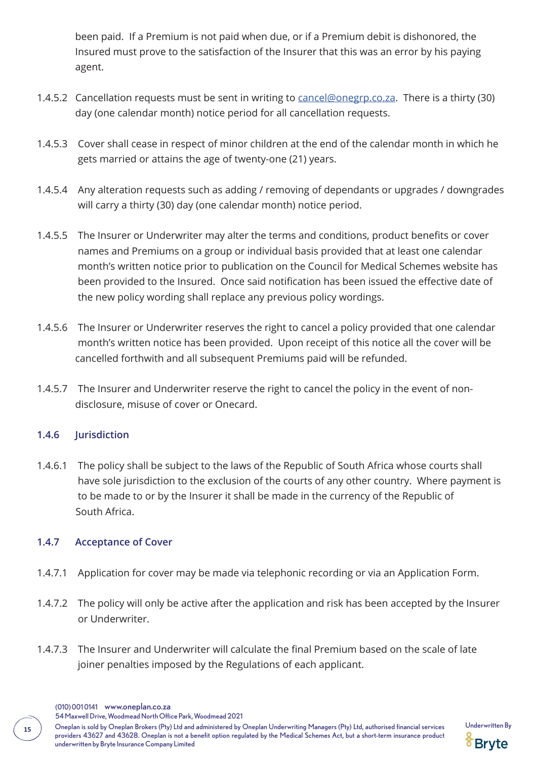been paid. If a Premium is not paid when due, or if a Premium debit is dishonored, the Insured must prove to the satisfaction of the Insurer that this was an error by his paying agent.

- 1.4.5.2 Cancellation requests must be sent in writing to cancel@onegrp.co.za. There is a thirty (30) day (one calendar month) notice period for all cancellation requests.
- 1.4.5.3 Cover shall cease in respect of minor children at the end of the calendar month in which he gets married or attains the age of twenty-one (21) years.
- 1.4.5.4 Any alteration requests such as adding / removing of dependants or upgrades / downgrades will carry a thirty (30) day (one calendar month) notice period.
- 1.4.5.5 The Insurer or Underwriter may alter the terms and conditions, product benefits or cover names and Premiums on a group or individual basis provided that at least one calendar month's written notice prior to publication on the Council for Medical Schemes website has been provided to the Insured. Once said notification has been issued the effective date of the new policy wording shall replace any previous policy wordings.
- 1.4.5.6 The Insurer or Underwriter reserves the right to cancel a policy provided that one calendar month's written notice has been provided. Upon receipt of this notice all the cover will be cancelled forthwith and all subsequent Premiums paid will be refunded.
- 1.4.5.7 The Insurer and Underwriter reserve the right to cancel the policy in the event of non disclosure, misuse of cover or Onecard.

### **1.4.6 Jurisdiction**

1.4.6.1 The policy shall be subject to the laws of the Republic of South Africa whose courts shall have sole jurisdiction to the exclusion of the courts of any other country. Where payment is to be made to or by the Insurer it shall be made in the currency of the Republic of South Africa.

#### **1.4.7 Acceptance of Cover**

- 1.4.7.1 Application for cover may be made via telephonic recording or via an Application Form.
- 1.4.7.2 The policy will only be active after the application and risk has been accepted by the Insurer or Underwriter.
- 1.4.7.3 The Insurer and Underwriter will calculate the final Premium based on the scale of late joiner penalties imposed by the Regulations of each applicant.
	- (010) 001 0141 www.oneplan.co.za

54 Maxwell Drive, Woodmead North Office Park, Woodmead 2021

Oneplan is sold by Oneplan Brokers (Pty) Ltd and administered by Oneplan Underwriting Managers (Pty) Ltd, authorised financial services Underwritten By **<sup>15</sup>** providers 43627 and 43628. Oneplan is not a benefit option regulated by the Medical Schemes Act, but a short-term insurance product underwritten by Bryte Insurance Company Limited

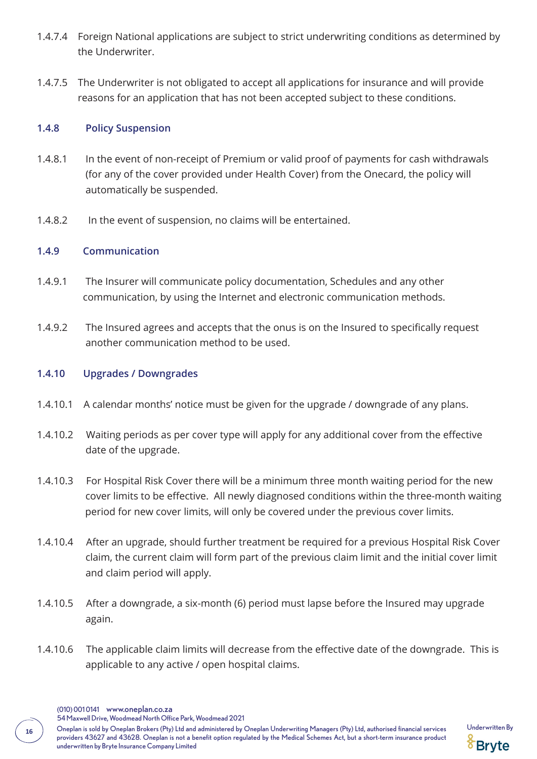- 1.4.7.4 Foreign National applications are subject to strict underwriting conditions as determined by the Underwriter.
- 1.4.7.5 The Underwriter is not obligated to accept all applications for insurance and will provide reasons for an application that has not been accepted subject to these conditions.

#### **1.4.8 Policy Suspension**

- 1.4.8.1 In the event of non-receipt of Premium or valid proof of payments for cash withdrawals (for any of the cover provided under Health Cover) from the Onecard, the policy will automatically be suspended.
- 1.4.8.2 In the event of suspension, no claims will be entertained.

#### **1.4.9 Communication**

- 1.4.9.1 The Insurer will communicate policy documentation, Schedules and any other communication, by using the Internet and electronic communication methods.
- 1.4.9.2 The Insured agrees and accepts that the onus is on the Insured to specifically request another communication method to be used.

#### **1.4.10 Upgrades / Downgrades**

- 1.4.10.1 A calendar months' notice must be given for the upgrade / downgrade of any plans.
- 1.4.10.2 Waiting periods as per cover type will apply for any additional cover from the effective date of the upgrade.
- 1.4.10.3 For Hospital Risk Cover there will be a minimum three month waiting period for the new cover limits to be effective. All newly diagnosed conditions within the three-month waiting period for new cover limits, will only be covered under the previous cover limits.
- 1.4.10.4 After an upgrade, should further treatment be required for a previous Hospital Risk Cover claim, the current claim will form part of the previous claim limit and the initial cover limit and claim period will apply.
- 1.4.10.5 After a downgrade, a six-month (6) period must lapse before the Insured may upgrade again.
- 1.4.10.6 The applicable claim limits will decrease from the effective date of the downgrade. This is applicable to any active / open hospital claims.
	- (010) 001 0141 www.oneplan.co.za
	- 54 Maxwell Drive, Woodmead North Office Park, Woodmead 2021
- 16 Oneplan is sold by Oneplan Brokers (Pty) Ltd and administered by Oneplan Underwriting Managers (Pty) Ltd, authorised financial services Underwritten By providers 43627 and 43628. Oneplan is not a benefit option regulated by the Medical Schemes Act, but a short-term insurance product underwritten by Bryte Insurance Company Limited

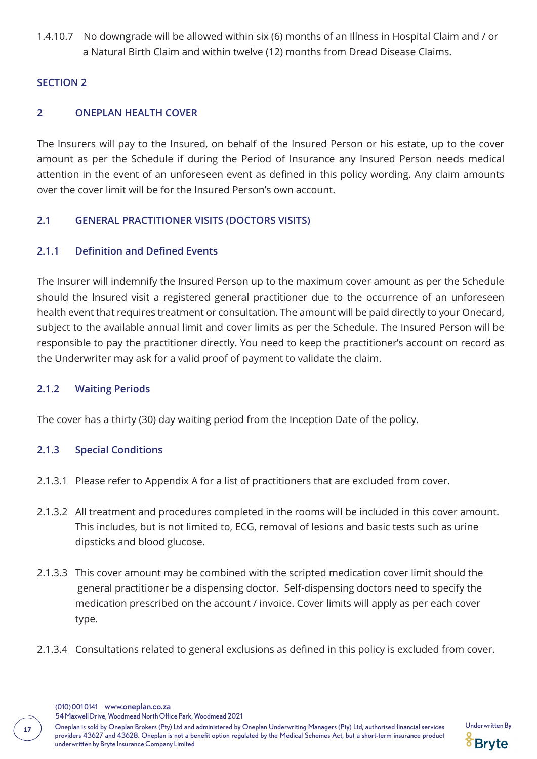1.4.10.7 No downgrade will be allowed within six (6) months of an Illness in Hospital Claim and / or a Natural Birth Claim and within twelve (12) months from Dread Disease Claims.

#### **SECTION 2**

### **2 ONEPLAN HEALTH COVER**

The Insurers will pay to the Insured, on behalf of the Insured Person or his estate, up to the cover amount as per the Schedule if during the Period of Insurance any Insured Person needs medical attention in the event of an unforeseen event as defined in this policy wording. Any claim amounts over the cover limit will be for the Insured Person's own account.

### **2.1 GENERAL PRACTITIONER VISITS (DOCTORS VISITS)**

### **2.1.1 Definition and Defined Events**

The Insurer will indemnify the Insured Person up to the maximum cover amount as per the Schedule should the Insured visit a registered general practitioner due to the occurrence of an unforeseen health event that requires treatment or consultation. The amount will be paid directly to your Onecard, subject to the available annual limit and cover limits as per the Schedule. The Insured Person will be responsible to pay the practitioner directly. You need to keep the practitioner's account on record as the Underwriter may ask for a valid proof of payment to validate the claim.

### **2.1.2 Waiting Periods**

The cover has a thirty (30) day waiting period from the Inception Date of the policy.

### **2.1.3 Special Conditions**

- 2.1.3.1 Please refer to Appendix A for a list of practitioners that are excluded from cover.
- 2.1.3.2 All treatment and procedures completed in the rooms will be included in this cover amount. This includes, but is not limited to, ECG, removal of lesions and basic tests such as urine dipsticks and blood glucose.
- 2.1.3.3 This cover amount may be combined with the scripted medication cover limit should the general practitioner be a dispensing doctor. Self-dispensing doctors need to specify the medication prescribed on the account / invoice. Cover limits will apply as per each cover type.
- 2.1.3.4 Consultations related to general exclusions as defined in this policy is excluded from cover.

54 Maxwell Drive, Woodmead North Office Park, Woodmead 2021

Oneplan is sold by Oneplan Brokers (Pty) Ltd and administered by Oneplan Underwriting Managers (Pty) Ltd, authorised financial services Underwritten By **<sup>17</sup>** providers 43627 and 43628. Oneplan is not a benefit option regulated by the Medical Schemes Act, but a short-term insurance product underwritten by Bryte Insurance Company Limited

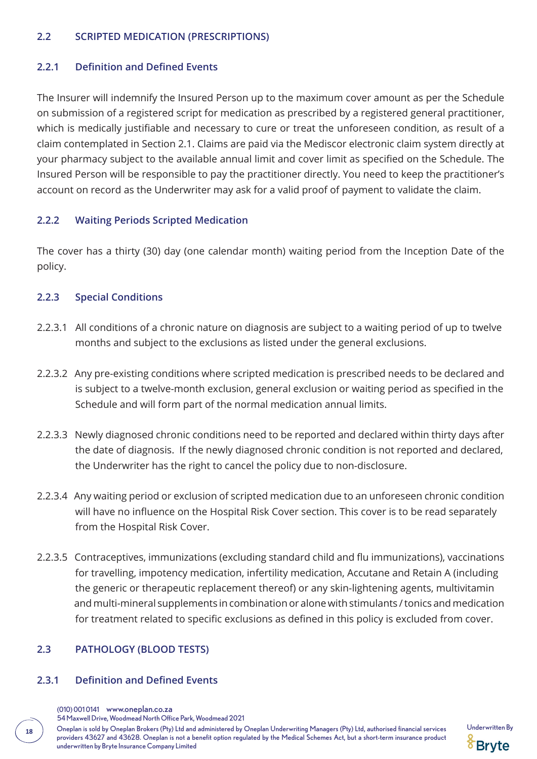#### **2.2 SCRIPTED MEDICATION (PRESCRIPTIONS)**

#### **2.2.1 Definition and Defined Events**

The Insurer will indemnify the Insured Person up to the maximum cover amount as per the Schedule on submission of a registered script for medication as prescribed by a registered general practitioner, which is medically justifiable and necessary to cure or treat the unforeseen condition, as result of a claim contemplated in Section 2.1. Claims are paid via the Mediscor electronic claim system directly at your pharmacy subject to the available annual limit and cover limit as specified on the Schedule. The Insured Person will be responsible to pay the practitioner directly. You need to keep the practitioner's account on record as the Underwriter may ask for a valid proof of payment to validate the claim.

### **2.2.2 Waiting Periods Scripted Medication**

The cover has a thirty (30) day (one calendar month) waiting period from the Inception Date of the policy.

#### **2.2.3 Special Conditions**

- 2.2.3.1 All conditions of a chronic nature on diagnosis are subject to a waiting period of up to twelve months and subject to the exclusions as listed under the general exclusions.
- 2.2.3.2 Any pre-existing conditions where scripted medication is prescribed needs to be declared and is subject to a twelve-month exclusion, general exclusion or waiting period as specified in the Schedule and will form part of the normal medication annual limits.
- 2.2.3.3 Newly diagnosed chronic conditions need to be reported and declared within thirty days after the date of diagnosis. If the newly diagnosed chronic condition is not reported and declared, the Underwriter has the right to cancel the policy due to non-disclosure.
- 2.2.3.4 Any waiting period or exclusion of scripted medication due to an unforeseen chronic condition will have no influence on the Hospital Risk Cover section. This cover is to be read separately from the Hospital Risk Cover.
- 2.2.3.5 Contraceptives, immunizations (excluding standard child and flu immunizations), vaccinations for travelling, impotency medication, infertility medication, Accutane and Retain A (including the generic or therapeutic replacement thereof) or any skin-lightening agents, multivitamin and multi-mineral supplements in combination or alone with stimulants / tonics and medication for treatment related to specific exclusions as defined in this policy is excluded from cover.

### **2.3 PATHOLOGY (BLOOD TESTS)**

#### **2.3.1 Definition and Defined Events**

54 Maxwell Drive, Woodmead North Office Park, Woodmead 2021

18 Oneplan is sold by Oneplan Brokers (Pty) Ltd and administered by Oneplan Underwriting Managers (Pty) Ltd, authorised financial services Underwritten By providers 43627 and 43628. Oneplan is not a benefit option regulated by the Medical Schemes Act, but a short-term insurance product underwritten by Bryte Insurance Company Limited



<sup>(010) 001 0141</sup> www.oneplan.co.za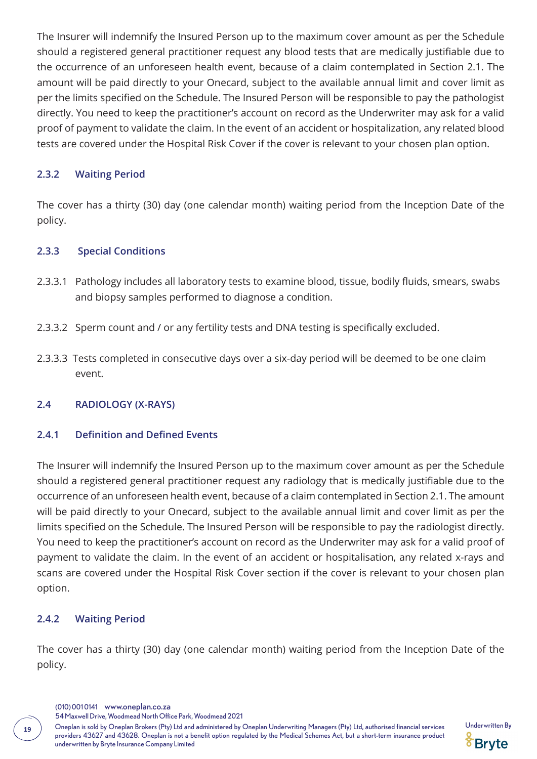The Insurer will indemnify the Insured Person up to the maximum cover amount as per the Schedule should a registered general practitioner request any blood tests that are medically justifiable due to the occurrence of an unforeseen health event, because of a claim contemplated in Section 2.1. The amount will be paid directly to your Onecard, subject to the available annual limit and cover limit as per the limits specified on the Schedule. The Insured Person will be responsible to pay the pathologist directly. You need to keep the practitioner's account on record as the Underwriter may ask for a valid proof of payment to validate the claim. In the event of an accident or hospitalization, any related blood tests are covered under the Hospital Risk Cover if the cover is relevant to your chosen plan option.

### **2.3.2 Waiting Period**

The cover has a thirty (30) day (one calendar month) waiting period from the Inception Date of the policy.

#### **2.3.3 Special Conditions**

- 2.3.3.1 Pathology includes all laboratory tests to examine blood, tissue, bodily fluids, smears, swabs and biopsy samples performed to diagnose a condition.
- 2.3.3.2 Sperm count and / or any fertility tests and DNA testing is specifically excluded.
- 2.3.3.3 Tests completed in consecutive days over a six-day period will be deemed to be one claim event.

#### **2.4 RADIOLOGY (X-RAYS)**

#### **2.4.1 Definition and Defined Events**

The Insurer will indemnify the Insured Person up to the maximum cover amount as per the Schedule should a registered general practitioner request any radiology that is medically justifiable due to the occurrence of an unforeseen health event, because of a claim contemplated in Section 2.1. The amount will be paid directly to your Onecard, subject to the available annual limit and cover limit as per the limits specified on the Schedule. The Insured Person will be responsible to pay the radiologist directly. You need to keep the practitioner's account on record as the Underwriter may ask for a valid proof of payment to validate the claim. In the event of an accident or hospitalisation, any related x-rays and scans are covered under the Hospital Risk Cover section if the cover is relevant to your chosen plan option.

#### **2.4.2 Waiting Period**

The cover has a thirty (30) day (one calendar month) waiting period from the Inception Date of the policy.

- (010) 001 0141 www.oneplan.co.za
- 54 Maxwell Drive, Woodmead North Office Park, Woodmead 2021

Oneplan is sold by Oneplan Brokers (Pty) Ltd and administered by Oneplan Underwriting Managers (Pty) Ltd, authorised financial services Underwritten By **<sup>19</sup>** providers 43627 and 43628. Oneplan is not a benefit option regulated by the Medical Schemes Act, but a short-term insurance product underwritten by Bryte Insurance Company Limited

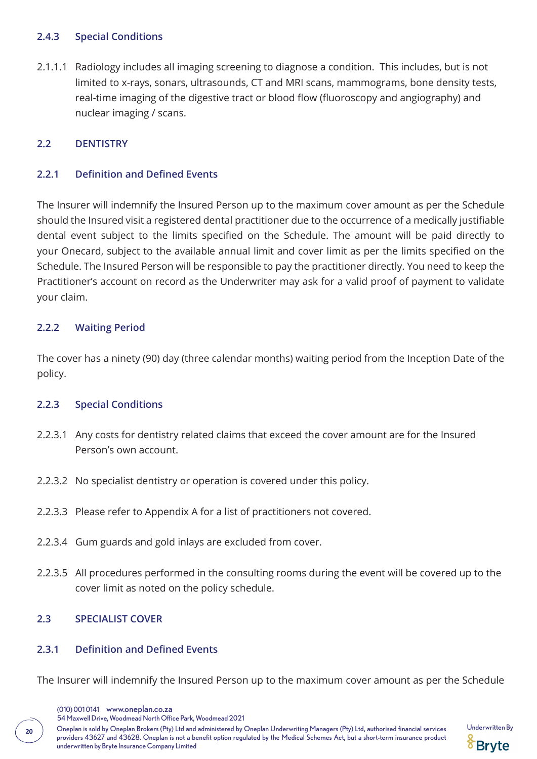### **2.4.3 Special Conditions**

2.1.1.1 Radiology includes all imaging screening to diagnose a condition. This includes, but is not limited to x-rays, sonars, ultrasounds, CT and MRI scans, mammograms, bone density tests, real-time imaging of the digestive tract or blood flow (fluoroscopy and angiography) and nuclear imaging / scans.

### **2.2 DENTISTRY**

### **2.2.1 Definition and Defined Events**

The Insurer will indemnify the Insured Person up to the maximum cover amount as per the Schedule should the Insured visit a registered dental practitioner due to the occurrence of a medically justifiable dental event subject to the limits specified on the Schedule. The amount will be paid directly to your Onecard, subject to the available annual limit and cover limit as per the limits specified on the Schedule. The Insured Person will be responsible to pay the practitioner directly. You need to keep the Practitioner's account on record as the Underwriter may ask for a valid proof of payment to validate your claim.

#### **2.2.2 Waiting Period**

The cover has a ninety (90) day (three calendar months) waiting period from the Inception Date of the policy.

#### **2.2.3 Special Conditions**

- 2.2.3.1 Any costs for dentistry related claims that exceed the cover amount are for the Insured Person's own account.
- 2.2.3.2 No specialist dentistry or operation is covered under this policy.
- 2.2.3.3 Please refer to Appendix A for a list of practitioners not covered.
- 2.2.3.4 Gum guards and gold inlays are excluded from cover.
- 2.2.3.5 All procedures performed in the consulting rooms during the event will be covered up to the cover limit as noted on the policy schedule.

### **2.3 SPECIALIST COVER**

#### **2.3.1 Definition and Defined Events**

The Insurer will indemnify the Insured Person up to the maximum cover amount as per the Schedule

(010) 001 0141 www.oneplan.co.za

54 Maxwell Drive, Woodmead North Office Park, Woodmead 2021

Oneplan is sold by Oneplan Brokers (Pty) Ltd and administered by Oneplan Underwriting Managers (Pty) Ltd, authorised financial services Underwritten By **<sup>20</sup>** providers 43627 and 43628. Oneplan is not a benefit option regulated by the Medical Schemes Act, but a short-term insurance product underwritten by Bryte Insurance Company Limited

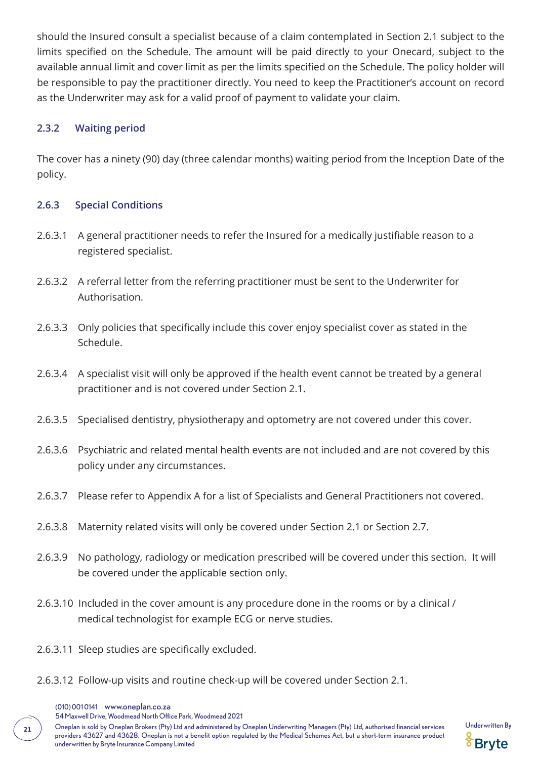should the Insured consult a specialist because of a claim contemplated in Section 2.1 subject to the limits specified on the Schedule. The amount will be paid directly to your Onecard, subject to the available annual limit and cover limit as per the limits specified on the Schedule. The policy holder will be responsible to pay the practitioner directly. You need to keep the Practitioner's account on record as the Underwriter may ask for a valid proof of payment to validate your claim.

#### **2.3.2 Waiting period**

The cover has a ninety (90) day (three calendar months) waiting period from the Inception Date of the policy.

#### **2.6.3 Special Conditions**

- 2.6.3.1 A general practitioner needs to refer the Insured for a medically justifiable reason to a registered specialist.
- 2.6.3.2 A referral letter from the referring practitioner must be sent to the Underwriter for Authorisation.
- 2.6.3.3 Only policies that specifically include this cover enjoy specialist cover as stated in the Schedule.
- 2.6.3.4 A specialist visit will only be approved if the health event cannot be treated by a general practitioner and is not covered under Section 2.1.
- 2.6.3.5 Specialised dentistry, physiotherapy and optometry are not covered under this cover.
- 2.6.3.6 Psychiatric and related mental health events are not included and are not covered by this policy under any circumstances.
- 2.6.3.7 Please refer to Appendix A for a list of Specialists and General Practitioners not covered.
- 2.6.3.8 Maternity related visits will only be covered under Section 2.1 or Section 2.7.
- 2.6.3.9 No pathology, radiology or medication prescribed will be covered under this section. It will be covered under the applicable section only.
- 2.6.3.10 Included in the cover amount is any procedure done in the rooms or by a clinical / medical technologist for example ECG or nerve studies.
- 2.6.3.11 Sleep studies are specifically excluded.
- 2.6.3.12 Follow-up visits and routine check-up will be covered under Section 2.1.
	- (010) 001 0141 www.oneplan.co.za

54 Maxwell Drive, Woodmead North Office Park, Woodmead 2021

Oneplan is sold by Oneplan Brokers (Pty) Ltd and administered by Oneplan Underwriting Managers (Pty) Ltd, authorised financial services Underwritten By **<sup>21</sup>** providers 43627 and 43628. Oneplan is not a benefit option regulated by the Medical Schemes Act, but a short-term insurance product underwritten by Bryte Insurance Company Limited

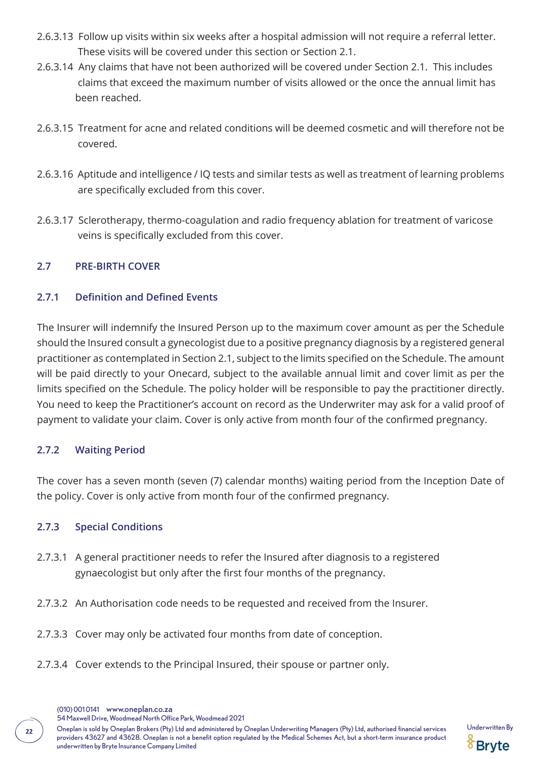- 2.6.3.13 Follow up visits within six weeks after a hospital admission will not require a referral letter. These visits will be covered under this section or Section 2.1.
- 2.6.3.14 Any claims that have not been authorized will be covered under Section 2.1. This includes claims that exceed the maximum number of visits allowed or the once the annual limit has been reached.
- 2.6.3.15 Treatment for acne and related conditions will be deemed cosmetic and will therefore not be covered.
- 2.6.3.16 Aptitude and intelligence / IQ tests and similar tests as well as treatment of learning problems are specifically excluded from this cover.
- 2.6.3.17 Sclerotherapy, thermo-coagulation and radio frequency ablation for treatment of varicose veins is specifically excluded from this cover.

### **2.7 PRE-BIRTH COVER**

### **2.7.1 Definition and Defined Events**

The Insurer will indemnify the Insured Person up to the maximum cover amount as per the Schedule should the Insured consult a gynecologist due to a positive pregnancy diagnosis by a registered general practitioner as contemplated in Section 2.1, subject to the limits specified on the Schedule. The amount will be paid directly to your Onecard, subject to the available annual limit and cover limit as per the limits specified on the Schedule. The policy holder will be responsible to pay the practitioner directly. You need to keep the Practitioner's account on record as the Underwriter may ask for a valid proof of payment to validate your claim. Cover is only active from month four of the confirmed pregnancy.

### **2.7.2 Waiting Period**

The cover has a seven month (seven (7) calendar months) waiting period from the Inception Date of the policy. Cover is only active from month four of the confirmed pregnancy.

### **2.7.3 Special Conditions**

- 2.7.3.1 A general practitioner needs to refer the Insured after diagnosis to a registered gynaecologist but only after the first four months of the pregnancy.
- 2.7.3.2 An Authorisation code needs to be requested and received from the Insurer.
- 2.7.3.3 Cover may only be activated four months from date of conception.
- 2.7.3.4 Cover extends to the Principal Insured, their spouse or partner only.
	- (010) 001 0141 www.oneplan.co.za

Oneplan is sold by Oneplan Brokers (Pty) Ltd and administered by Oneplan Underwriting Managers (Pty) Ltd, authorised financial services Underwritten By **<sup>22</sup>** providers 43627 and 43628. Oneplan is not a benefit option regulated by the Medical Schemes Act, but a short-term insurance product underwritten by Bryte Insurance Company Limited



<sup>54</sup> Maxwell Drive, Woodmead North Office Park, Woodmead 2021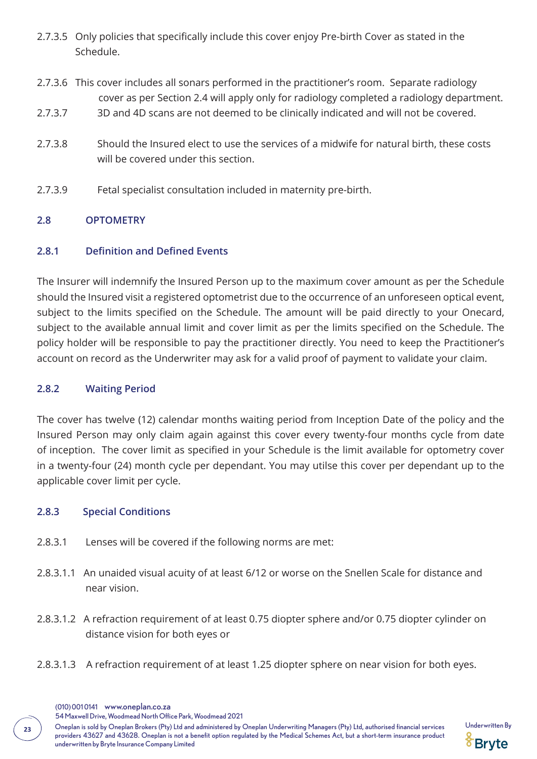- 2.7.3.5 Only policies that specifically include this cover enjoy Pre-birth Cover as stated in the Schedule.
- 2.7.3.6 This cover includes all sonars performed in the practitioner's room. Separate radiology cover as per Section 2.4 will apply only for radiology completed a radiology department.
- 2.7.3.7 3D and 4D scans are not deemed to be clinically indicated and will not be covered.
- 2.7.3.8 Should the Insured elect to use the services of a midwife for natural birth, these costs will be covered under this section.
- 2.7.3.9 Fetal specialist consultation included in maternity pre-birth.

### **2.8 OPTOMETRY**

### **2.8.1 Definition and Defined Events**

The Insurer will indemnify the Insured Person up to the maximum cover amount as per the Schedule should the Insured visit a registered optometrist due to the occurrence of an unforeseen optical event, subject to the limits specified on the Schedule. The amount will be paid directly to your Onecard, subject to the available annual limit and cover limit as per the limits specified on the Schedule. The policy holder will be responsible to pay the practitioner directly. You need to keep the Practitioner's account on record as the Underwriter may ask for a valid proof of payment to validate your claim.

#### **2.8.2 Waiting Period**

The cover has twelve (12) calendar months waiting period from Inception Date of the policy and the Insured Person may only claim again against this cover every twenty-four months cycle from date of inception. The cover limit as specified in your Schedule is the limit available for optometry cover in a twenty-four (24) month cycle per dependant. You may utilse this cover per dependant up to the applicable cover limit per cycle.

#### **2.8.3 Special Conditions**

- 2.8.3.1 Lenses will be covered if the following norms are met:
- 2.8.3.1.1 An unaided visual acuity of at least 6/12 or worse on the Snellen Scale for distance and near vision.
- 2.8.3.1.2 A refraction requirement of at least 0.75 diopter sphere and/or 0.75 diopter cylinder on distance vision for both eyes or
- 2.8.3.1.3 A refraction requirement of at least 1.25 diopter sphere on near vision for both eyes.

54 Maxwell Drive, Woodmead North Office Park, Woodmead 2021

Oneplan is sold by Oneplan Brokers (Pty) Ltd and administered by Oneplan Underwriting Managers (Pty) Ltd, authorised financial services Underwritten By **<sup>23</sup>** providers 43627 and 43628. Oneplan is not a benefit option regulated by the Medical Schemes Act, but a short-term insurance product underwritten by Bryte Insurance Company Limited

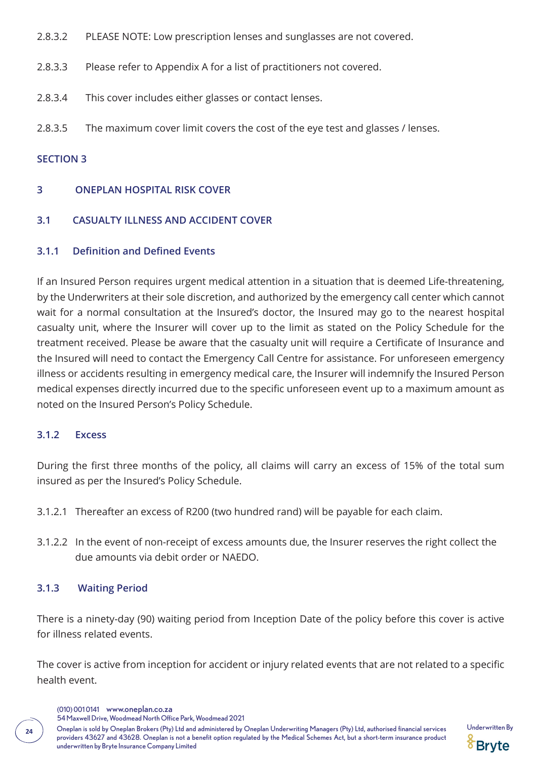- 2.8.3.2 PLEASE NOTE: Low prescription lenses and sunglasses are not covered.
- 2.8.3.3 Please refer to Appendix A for a list of practitioners not covered.
- 2.8.3.4 This cover includes either glasses or contact lenses.
- 2.8.3.5 The maximum cover limit covers the cost of the eye test and glasses / lenses.

#### **SECTION 3**

#### **3 ONEPLAN HOSPITAL RISK COVER**

### **3.1 CASUALTY ILLNESS AND ACCIDENT COVER**

#### **3.1.1 Definition and Defined Events**

If an Insured Person requires urgent medical attention in a situation that is deemed Life-threatening, by the Underwriters at their sole discretion, and authorized by the emergency call center which cannot wait for a normal consultation at the Insured's doctor, the Insured may go to the nearest hospital casualty unit, where the Insurer will cover up to the limit as stated on the Policy Schedule for the treatment received. Please be aware that the casualty unit will require a Certificate of Insurance and the Insured will need to contact the Emergency Call Centre for assistance. For unforeseen emergency illness or accidents resulting in emergency medical care, the Insurer will indemnify the Insured Person medical expenses directly incurred due to the specific unforeseen event up to a maximum amount as noted on the Insured Person's Policy Schedule.

### **3.1.2 Excess**

During the first three months of the policy, all claims will carry an excess of 15% of the total sum insured as per the Insured's Policy Schedule.

- 3.1.2.1 Thereafter an excess of R200 (two hundred rand) will be payable for each claim.
- 3.1.2.2 In the event of non-receipt of excess amounts due, the Insurer reserves the right collect the due amounts via debit order or NAEDO.

#### **3.1.3 Waiting Period**

There is a ninety-day (90) waiting period from Inception Date of the policy before this cover is active for illness related events.

The cover is active from inception for accident or injury related events that are not related to a specific health event.

(010) 001 0141 www.oneplan.co.za

54 Maxwell Drive, Woodmead North Office Park, Woodmead 2021

24 Doneplan is sold by Oneplan Brokers (Pty) Ltd and administered by Oneplan Underwriting Managers (Pty) Ltd, authorised financial services Underwritten By providers 43627 and 43628. Oneplan is not a benefit option regulated by the Medical Schemes Act, but a short-term insurance product underwritten by Bryte Insurance Company Limited

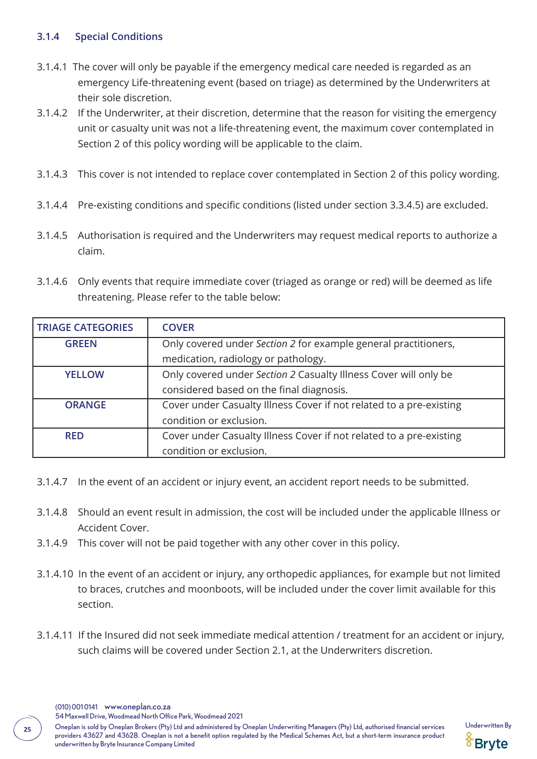### **3.1.4 Special Conditions**

- 3.1.4.1 The cover will only be payable if the emergency medical care needed is regarded as an emergency Life-threatening event (based on triage) as determined by the Underwriters at their sole discretion.
- 3.1.4.2 If the Underwriter, at their discretion, determine that the reason for visiting the emergency unit or casualty unit was not a life-threatening event, the maximum cover contemplated in Section 2 of this policy wording will be applicable to the claim.
- 3.1.4.3 This cover is not intended to replace cover contemplated in Section 2 of this policy wording.
- 3.1.4.4 Pre-existing conditions and specific conditions (listed under section 3.3.4.5) are excluded.
- 3.1.4.5 Authorisation is required and the Underwriters may request medical reports to authorize a claim.
- 3.1.4.6 Only events that require immediate cover (triaged as orange or red) will be deemed as life threatening. Please refer to the table below:

| <b>TRIAGE CATEGORIES</b> | <b>COVER</b>                                                        |  |
|--------------------------|---------------------------------------------------------------------|--|
| <b>GREEN</b>             | Only covered under Section 2 for example general practitioners,     |  |
|                          | medication, radiology or pathology.                                 |  |
| <b>YELLOW</b>            | Only covered under Section 2 Casualty Illness Cover will only be    |  |
|                          | considered based on the final diagnosis.                            |  |
| <b>ORANGE</b>            | Cover under Casualty Illness Cover if not related to a pre-existing |  |
|                          | condition or exclusion.                                             |  |
| <b>RED</b>               | Cover under Casualty Illness Cover if not related to a pre-existing |  |
|                          | condition or exclusion.                                             |  |

- 3.1.4.7 In the event of an accident or injury event, an accident report needs to be submitted.
- 3.1.4.8 Should an event result in admission, the cost will be included under the applicable Illness or Accident Cover.
- 3.1.4.9 This cover will not be paid together with any other cover in this policy.
- 3.1.4.10 In the event of an accident or injury, any orthopedic appliances, for example but not limited to braces, crutches and moonboots, will be included under the cover limit available for this section.
- 3.1.4.11 If the Insured did not seek immediate medical attention / treatment for an accident or injury, such claims will be covered under Section 2.1, at the Underwriters discretion.

(010) 001 0141 www.oneplan.co.za

54 Maxwell Drive, Woodmead North Office Park, Woodmead 2021

Oneplan is sold by Oneplan Brokers (Pty) Ltd and administered by Oneplan Underwriting Managers (Pty) Ltd, authorised financial services Underwritten By **<sup>25</sup>** providers 43627 and 43628. Oneplan is not a benefit option regulated by the Medical Schemes Act, but a short-term insurance product underwritten by Bryte Insurance Company Limited

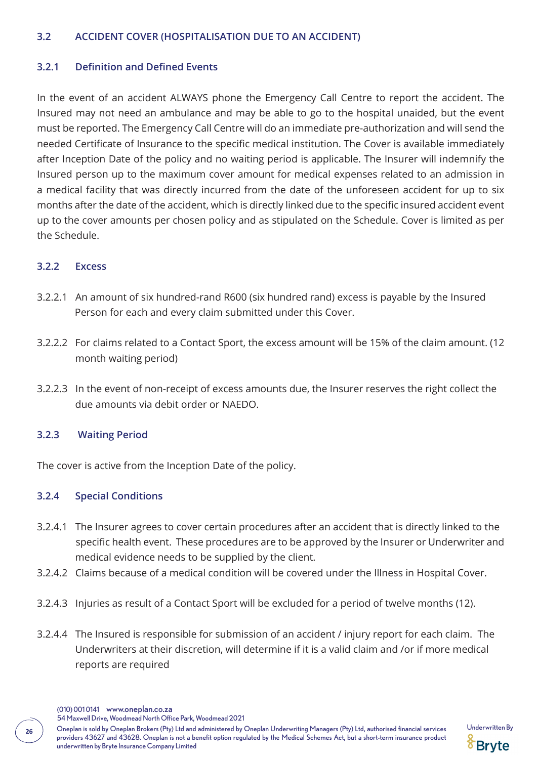#### **3.2 ACCIDENT COVER (HOSPITALISATION DUE TO AN ACCIDENT)**

#### **3.2.1 Definition and Defined Events**

In the event of an accident ALWAYS phone the Emergency Call Centre to report the accident. The Insured may not need an ambulance and may be able to go to the hospital unaided, but the event must be reported. The Emergency Call Centre will do an immediate pre-authorization and will send the needed Certificate of Insurance to the specific medical institution. The Cover is available immediately after Inception Date of the policy and no waiting period is applicable. The Insurer will indemnify the Insured person up to the maximum cover amount for medical expenses related to an admission in a medical facility that was directly incurred from the date of the unforeseen accident for up to six months after the date of the accident, which is directly linked due to the specific insured accident event up to the cover amounts per chosen policy and as stipulated on the Schedule. Cover is limited as per the Schedule.

#### **3.2.2 Excess**

- 3.2.2.1 An amount of six hundred-rand R600 (six hundred rand) excess is payable by the Insured Person for each and every claim submitted under this Cover.
- 3.2.2.2 For claims related to a Contact Sport, the excess amount will be 15% of the claim amount. (12 month waiting period)
- 3.2.2.3 In the event of non-receipt of excess amounts due, the Insurer reserves the right collect the due amounts via debit order or NAEDO.

### **3.2.3 Waiting Period**

The cover is active from the Inception Date of the policy.

### **3.2.4 Special Conditions**

- 3.2.4.1 The Insurer agrees to cover certain procedures after an accident that is directly linked to the specific health event. These procedures are to be approved by the Insurer or Underwriter and medical evidence needs to be supplied by the client.
- 3.2.4.2 Claims because of a medical condition will be covered under the Illness in Hospital Cover.
- 3.2.4.3 Injuries as result of a Contact Sport will be excluded for a period of twelve months (12).
- 3.2.4.4 The Insured is responsible for submission of an accident / injury report for each claim. The Underwriters at their discretion, will determine if it is a valid claim and /or if more medical reports are required

(010) 001 0141 www.oneplan.co.za

54 Maxwell Drive, Woodmead North Office Park, Woodmead 2021

Oneplan is sold by Oneplan Brokers (Pty) Ltd and administered by Oneplan Underwriting Managers (Pty) Ltd, authorised financial services Underwritten By **<sup>26</sup>** providers 43627 and 43628. Oneplan is not a benefit option regulated by the Medical Schemes Act, but a short-term insurance product underwritten by Bryte Insurance Company Limited

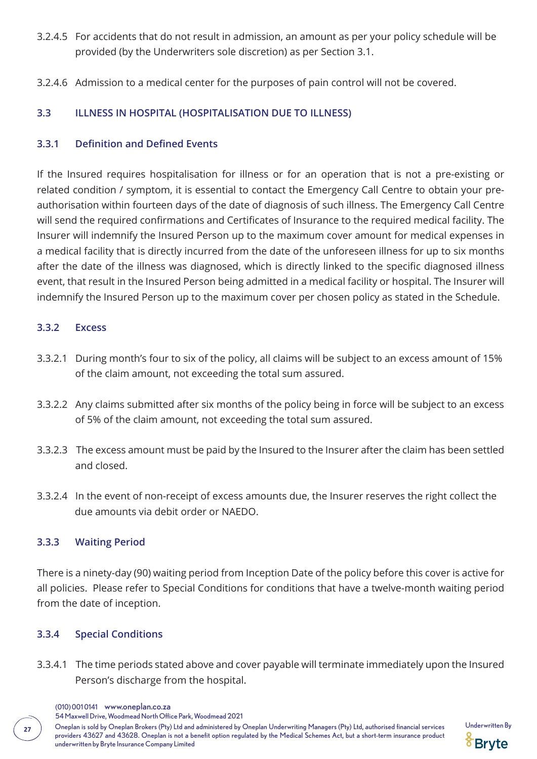- 3.2.4.5 For accidents that do not result in admission, an amount as per your policy schedule will be provided (by the Underwriters sole discretion) as per Section 3.1.
- 3.2.4.6 Admission to a medical center for the purposes of pain control will not be covered.

### **3.3 ILLNESS IN HOSPITAL (HOSPITALISATION DUE TO ILLNESS)**

### **3.3.1 Definition and Defined Events**

If the Insured requires hospitalisation for illness or for an operation that is not a pre-existing or related condition / symptom, it is essential to contact the Emergency Call Centre to obtain your preauthorisation within fourteen days of the date of diagnosis of such illness. The Emergency Call Centre will send the required confirmations and Certificates of Insurance to the required medical facility. The Insurer will indemnify the Insured Person up to the maximum cover amount for medical expenses in a medical facility that is directly incurred from the date of the unforeseen illness for up to six months after the date of the illness was diagnosed, which is directly linked to the specific diagnosed illness event, that result in the Insured Person being admitted in a medical facility or hospital. The Insurer will indemnify the Insured Person up to the maximum cover per chosen policy as stated in the Schedule.

#### **3.3.2 Excess**

- 3.3.2.1 During month's four to six of the policy, all claims will be subject to an excess amount of 15% of the claim amount, not exceeding the total sum assured.
- 3.3.2.2 Any claims submitted after six months of the policy being in force will be subject to an excess of 5% of the claim amount, not exceeding the total sum assured.
- 3.3.2.3 The excess amount must be paid by the Insured to the Insurer after the claim has been settled and closed.
- 3.3.2.4 In the event of non-receipt of excess amounts due, the Insurer reserves the right collect the due amounts via debit order or NAEDO.

### **3.3.3 Waiting Period**

There is a ninety-day (90) waiting period from Inception Date of the policy before this cover is active for all policies. Please refer to Special Conditions for conditions that have a twelve-month waiting period from the date of inception.

### **3.3.4 Special Conditions**

- 3.3.4.1 The time periods stated above and cover payable will terminate immediately upon the Insured Person's discharge from the hospital.
	- (010) 001 0141 www.oneplan.co.za

54 Maxwell Drive, Woodmead North Office Park, Woodmead 2021

Oneplan is sold by Oneplan Brokers (Pty) Ltd and administered by Oneplan Underwriting Managers (Pty) Ltd, authorised financial services Underwritten By **<sup>27</sup>** providers 43627 and 43628. Oneplan is not a benefit option regulated by the Medical Schemes Act, but a short-term insurance product underwritten by Bryte Insurance Company Limited

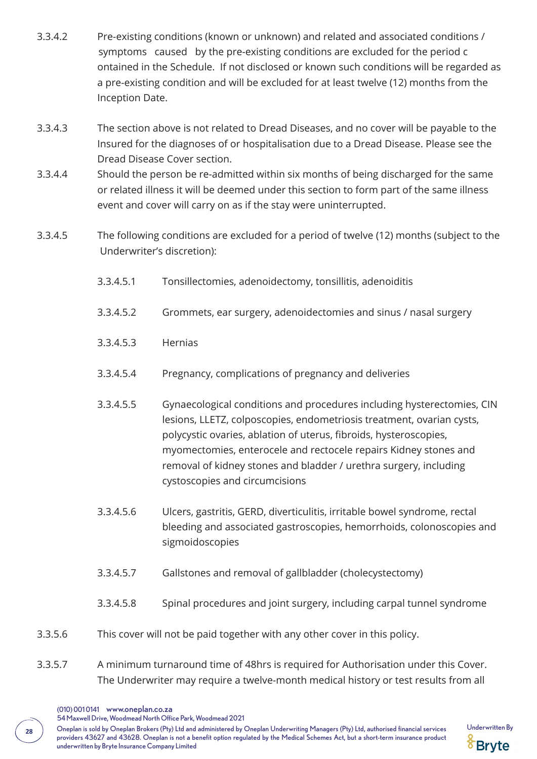- 3.3.4.2 Pre-existing conditions (known or unknown) and related and associated conditions / symptoms caused by the pre-existing conditions are excluded for the period c ontained in the Schedule. If not disclosed or known such conditions will be regarded as a pre-existing condition and will be excluded for at least twelve (12) months from the Inception Date.
- 3.3.4.3 The section above is not related to Dread Diseases, and no cover will be payable to the Insured for the diagnoses of or hospitalisation due to a Dread Disease. Please see the Dread Disease Cover section.
- 3.3.4.4 Should the person be re-admitted within six months of being discharged for the same or related illness it will be deemed under this section to form part of the same illness event and cover will carry on as if the stay were uninterrupted.
- 3.3.4.5 The following conditions are excluded for a period of twelve (12) months (subject to the Underwriter's discretion):
	- 3.3.4.5.1 Tonsillectomies, adenoidectomy, tonsillitis, adenoiditis
	- 3.3.4.5.2 Grommets, ear surgery, adenoidectomies and sinus / nasal surgery
	- 3.3.4.5.3 Hernias
	- 3.3.4.5.4 Pregnancy, complications of pregnancy and deliveries
	- 3.3.4.5.5 Gynaecological conditions and procedures including hysterectomies, CIN lesions, LLETZ, colposcopies, endometriosis treatment, ovarian cysts, polycystic ovaries, ablation of uterus, fibroids, hysteroscopies, myomectomies, enterocele and rectocele repairs Kidney stones and removal of kidney stones and bladder / urethra surgery, including cystoscopies and circumcisions
	- 3.3.4.5.6 Ulcers, gastritis, GERD, diverticulitis, irritable bowel syndrome, rectal bleeding and associated gastroscopies, hemorrhoids, colonoscopies and sigmoidoscopies
	- 3.3.4.5.7 Gallstones and removal of gallbladder (cholecystectomy)
	- 3.3.4.5.8 Spinal procedures and joint surgery, including carpal tunnel syndrome
- 3.3.5.6 This cover will not be paid together with any other cover in this policy.
- 3.3.5.7 A minimum turnaround time of 48hrs is required for Authorisation under this Cover. The Underwriter may require a twelve-month medical history or test results from all
	- (010) 001 0141 www.oneplan.co.za

54 Maxwell Drive, Woodmead North Office Park, Woodmead 2021

Oneplan is sold by Oneplan Brokers (Pty) Ltd and administered by Oneplan Underwriting Managers (Pty) Ltd, authorised financial services Underwritten By **<sup>28</sup>** providers 43627 and 43628. Oneplan is not a benefit option regulated by the Medical Schemes Act, but a short-term insurance product underwritten by Bryte Insurance Company Limited

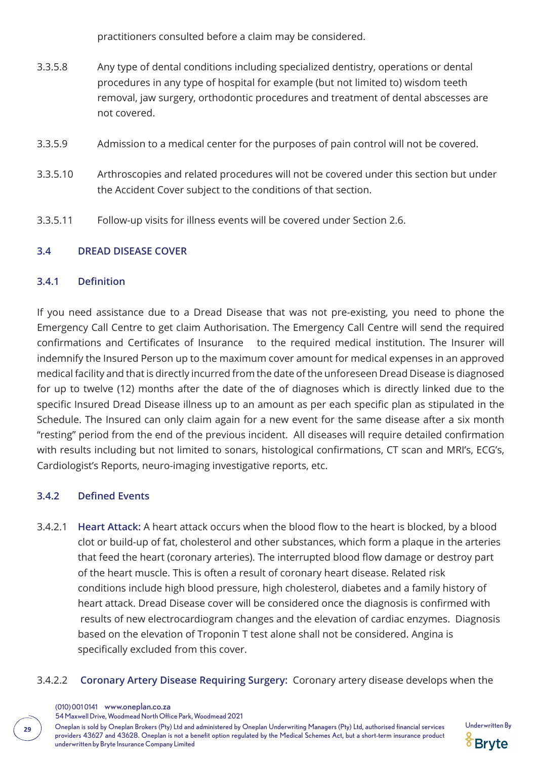practitioners consulted before a claim may be considered.

- 3.3.5.8 Any type of dental conditions including specialized dentistry, operations or dental procedures in any type of hospital for example (but not limited to) wisdom teeth removal, jaw surgery, orthodontic procedures and treatment of dental abscesses are not covered.
- 3.3.5.9 Admission to a medical center for the purposes of pain control will not be covered.
- 3.3.5.10 Arthroscopies and related procedures will not be covered under this section but under the Accident Cover subject to the conditions of that section.
- 3.3.5.11 Follow-up visits for illness events will be covered under Section 2.6.

### **3.4 DREAD DISEASE COVER**

#### **3.4.1 Definition**

If you need assistance due to a Dread Disease that was not pre-existing, you need to phone the Emergency Call Centre to get claim Authorisation. The Emergency Call Centre will send the required confirmations and Certificates of Insurance to the required medical institution. The Insurer will indemnify the Insured Person up to the maximum cover amount for medical expenses in an approved medical facility and that is directly incurred from the date of the unforeseen Dread Disease is diagnosed for up to twelve (12) months after the date of the of diagnoses which is directly linked due to the specific Insured Dread Disease illness up to an amount as per each specific plan as stipulated in the Schedule. The Insured can only claim again for a new event for the same disease after a six month "resting" period from the end of the previous incident. All diseases will require detailed confirmation with results including but not limited to sonars, histological confirmations, CT scan and MRI's, ECG's, Cardiologist's Reports, neuro-imaging investigative reports, etc.

### **3.4.2 Defined Events**

- 3.4.2.1 **Heart Attack:** A heart attack occurs when the blood flow to the heart is blocked, by a blood clot or build-up of fat, cholesterol and other substances, which form a plaque in the arteries that feed the heart (coronary arteries). The interrupted blood flow damage or destroy part of the heart muscle. This is often a result of coronary heart disease. Related risk conditions include high blood pressure, high cholesterol, diabetes and a family history of heart attack. Dread Disease cover will be considered once the diagnosis is confirmed with results of new electrocardiogram changes and the elevation of cardiac enzymes. Diagnosis based on the elevation of Troponin T test alone shall not be considered. Angina is specifically excluded from this cover.
- 3.4.2.2 **Coronary Artery Disease Requiring Surgery:** Coronary artery disease develops when the
	- (010) 001 0141 www.oneplan.co.za

54 Maxwell Drive, Woodmead North Office Park, Woodmead 2021

Oneplan is sold by Oneplan Brokers (Pty) Ltd and administered by Oneplan Underwriting Managers (Pty) Ltd, authorised financial services Underwritten By **<sup>29</sup>** providers 43627 and 43628. Oneplan is not a benefit option regulated by the Medical Schemes Act, but a short-term insurance product underwritten by Bryte Insurance Company Limited

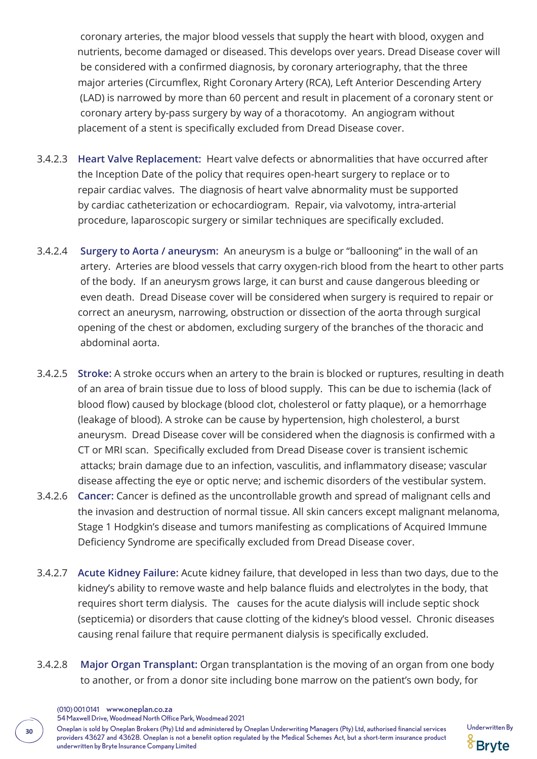coronary arteries, the major blood vessels that supply the heart with blood, oxygen and nutrients, become damaged or diseased. This develops over years. Dread Disease cover will be considered with a confirmed diagnosis, by coronary arteriography, that the three major arteries (Circumflex, Right Coronary Artery (RCA), Left Anterior Descending Artery (LAD) is narrowed by more than 60 percent and result in placement of a coronary stent or coronary artery by-pass surgery by way of a thoracotomy. An angiogram without placement of a stent is specifically excluded from Dread Disease cover.

- 3.4.2.3 **Heart Valve Replacement:** Heart valve defects or abnormalities that have occurred after the Inception Date of the policy that requires open-heart surgery to replace or to repair cardiac valves. The diagnosis of heart valve abnormality must be supported by cardiac catheterization or echocardiogram. Repair, via valvotomy, intra-arterial procedure, laparoscopic surgery or similar techniques are specifically excluded.
- 3.4.2.4 **Surgery to Aorta / aneurysm:** An aneurysm is a bulge or "ballooning" in the wall of an artery. Arteries are blood vessels that carry oxygen-rich blood from the heart to other parts of the body. If an aneurysm grows large, it can burst and cause dangerous bleeding or even death. Dread Disease cover will be considered when surgery is required to repair or correct an aneurysm, narrowing, obstruction or dissection of the aorta through surgical opening of the chest or abdomen, excluding surgery of the branches of the thoracic and abdominal aorta.
- 3.4.2.5 **Stroke:** A stroke occurs when an artery to the brain is blocked or ruptures, resulting in death of an area of brain tissue due to loss of blood supply. This can be due to ischemia (lack of blood flow) caused by blockage (blood clot, cholesterol or fatty plaque), or a hemorrhage (leakage of blood). A stroke can be cause by hypertension, high cholesterol, a burst aneurysm. Dread Disease cover will be considered when the diagnosis is confirmed with a CT or MRI scan. Specifically excluded from Dread Disease cover is transient ischemic attacks; brain damage due to an infection, vasculitis, and inflammatory disease; vascular disease affecting the eye or optic nerve; and ischemic disorders of the vestibular system.
- 3.4.2.6 **Cancer:** Cancer is defined as the uncontrollable growth and spread of malignant cells and the invasion and destruction of normal tissue. All skin cancers except malignant melanoma, Stage 1 Hodgkin's disease and tumors manifesting as complications of Acquired Immune Deficiency Syndrome are specifically excluded from Dread Disease cover.
- 3.4.2.7 **Acute Kidney Failure:** Acute kidney failure, that developed in less than two days, due to the kidney's ability to remove waste and help balance fluids and electrolytes in the body, that requires short term dialysis. The causes for the acute dialysis will include septic shock (septicemia) or disorders that cause clotting of the kidney's blood vessel. Chronic diseases causing renal failure that require permanent dialysis is specifically excluded.
- 3.4.2.8 **Major Organ Transplant:** Organ transplantation is the moving of an organ from one body to another, or from a donor site including bone marrow on the patient's own body, for
	- (010) 001 0141 www.oneplan.co.za

54 Maxwell Drive, Woodmead North Office Park, Woodmead 2021

Oneplan is sold by Oneplan Brokers (Pty) Ltd and administered by Oneplan Underwriting Managers (Pty) Ltd, authorised financial services Underwritten By **<sup>30</sup>** providers 43627 and 43628. Oneplan is not a benefit option regulated by the Medical Schemes Act, but a short-term insurance product underwritten by Bryte Insurance Company Limited

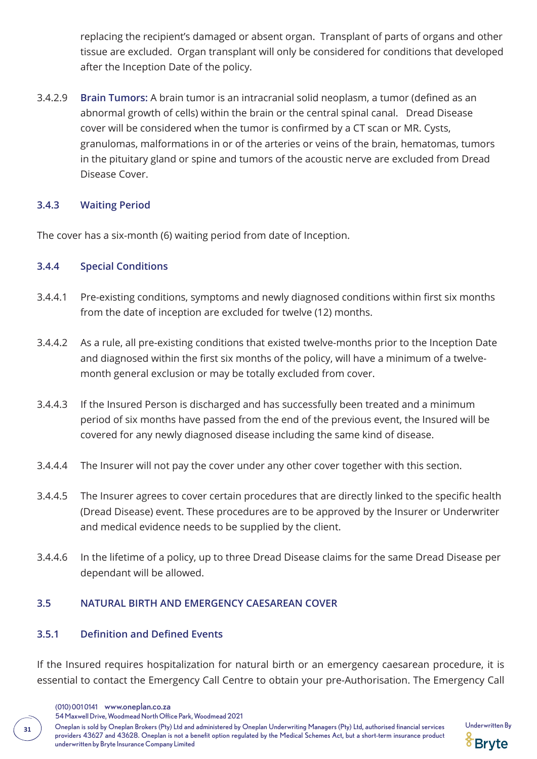replacing the recipient's damaged or absent organ. Transplant of parts of organs and other tissue are excluded. Organ transplant will only be considered for conditions that developed after the Inception Date of the policy.

3.4.2.9 **Brain Tumors:** A brain tumor is an intracranial solid neoplasm, a tumor (defined as an abnormal growth of cells) within the brain or the central spinal canal. Dread Disease cover will be considered when the tumor is confirmed by a CT scan or MR. Cysts, granulomas, malformations in or of the arteries or veins of the brain, hematomas, tumors in the pituitary gland or spine and tumors of the acoustic nerve are excluded from Dread Disease Cover.

#### **3.4.3 Waiting Period**

The cover has a six-month (6) waiting period from date of Inception.

#### **3.4.4 Special Conditions**

- 3.4.4.1 Pre-existing conditions, symptoms and newly diagnosed conditions within first six months from the date of inception are excluded for twelve (12) months.
- 3.4.4.2 As a rule, all pre-existing conditions that existed twelve-months prior to the Inception Date and diagnosed within the first six months of the policy, will have a minimum of a twelve month general exclusion or may be totally excluded from cover.
- 3.4.4.3 If the Insured Person is discharged and has successfully been treated and a minimum period of six months have passed from the end of the previous event, the Insured will be covered for any newly diagnosed disease including the same kind of disease.
- 3.4.4.4 The Insurer will not pay the cover under any other cover together with this section.
- 3.4.4.5 The Insurer agrees to cover certain procedures that are directly linked to the specific health (Dread Disease) event. These procedures are to be approved by the Insurer or Underwriter and medical evidence needs to be supplied by the client.
- 3.4.4.6 In the lifetime of a policy, up to three Dread Disease claims for the same Dread Disease per dependant will be allowed.

### **3.5 NATURAL BIRTH AND EMERGENCY CAESAREAN COVER**

#### **3.5.1 Definition and Defined Events**

If the Insured requires hospitalization for natural birth or an emergency caesarean procedure, it is essential to contact the Emergency Call Centre to obtain your pre-Authorisation. The Emergency Call

(010) 001 0141 www.oneplan.co.za

54 Maxwell Drive, Woodmead North Office Park, Woodmead 2021

Oneplan is sold by Oneplan Brokers (Pty) Ltd and administered by Oneplan Underwriting Managers (Pty) Ltd, authorised financial services Underwritten By **<sup>31</sup>** providers 43627 and 43628. Oneplan is not a benefit option regulated by the Medical Schemes Act, but a short-term insurance product underwritten by Bryte Insurance Company Limited

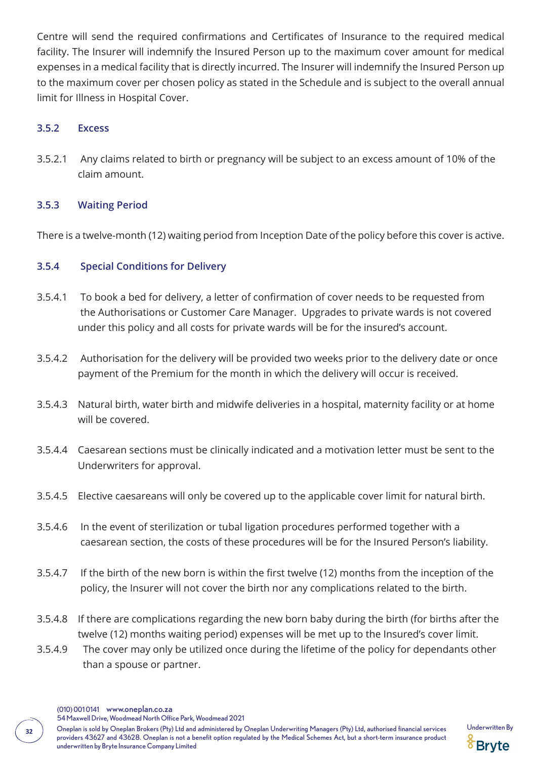Centre will send the required confirmations and Certificates of Insurance to the required medical facility. The Insurer will indemnify the Insured Person up to the maximum cover amount for medical expenses in a medical facility that is directly incurred. The Insurer will indemnify the Insured Person up to the maximum cover per chosen policy as stated in the Schedule and is subject to the overall annual limit for Illness in Hospital Cover.

#### **3.5.2 Excess**

3.5.2.1 Any claims related to birth or pregnancy will be subject to an excess amount of 10% of the claim amount.

#### **3.5.3 Waiting Period**

There is a twelve-month (12) waiting period from Inception Date of the policy before this cover is active.

#### **3.5.4 Special Conditions for Delivery**

- 3.5.4.1 To book a bed for delivery, a letter of confirmation of cover needs to be requested from the Authorisations or Customer Care Manager. Upgrades to private wards is not covered under this policy and all costs for private wards will be for the insured's account.
- 3.5.4.2 Authorisation for the delivery will be provided two weeks prior to the delivery date or once payment of the Premium for the month in which the delivery will occur is received.
- 3.5.4.3 Natural birth, water birth and midwife deliveries in a hospital, maternity facility or at home will be covered.
- 3.5.4.4 Caesarean sections must be clinically indicated and a motivation letter must be sent to the Underwriters for approval.
- 3.5.4.5 Elective caesareans will only be covered up to the applicable cover limit for natural birth.
- 3.5.4.6 In the event of sterilization or tubal ligation procedures performed together with a caesarean section, the costs of these procedures will be for the Insured Person's liability.
- 3.5.4.7 If the birth of the new born is within the first twelve (12) months from the inception of the policy, the Insurer will not cover the birth nor any complications related to the birth.
- 3.5.4.8 If there are complications regarding the new born baby during the birth (for births after the twelve (12) months waiting period) expenses will be met up to the Insured's cover limit.
- 3.5.4.9 The cover may only be utilized once during the lifetime of the policy for dependants other than a spouse or partner.



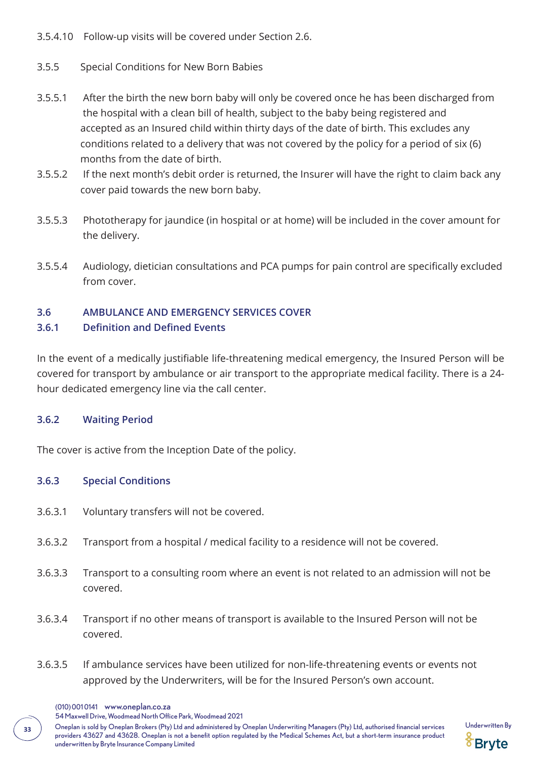3.5.4.10 Follow-up visits will be covered under Section 2.6.

- 3.5.5 Special Conditions for New Born Babies
- 3.5.5.1 After the birth the new born baby will only be covered once he has been discharged from the hospital with a clean bill of health, subject to the baby being registered and accepted as an Insured child within thirty days of the date of birth. This excludes any conditions related to a delivery that was not covered by the policy for a period of six (6) months from the date of birth.
- 3.5.5.2 If the next month's debit order is returned, the Insurer will have the right to claim back any cover paid towards the new born baby.
- 3.5.5.3 Phototherapy for jaundice (in hospital or at home) will be included in the cover amount for the delivery.
- 3.5.5.4 Audiology, dietician consultations and PCA pumps for pain control are specifically excluded from cover.

### **3.6 AMBULANCE AND EMERGENCY SERVICES COVER**

### **3.6.1 Definition and Defined Events**

In the event of a medically justifiable life-threatening medical emergency, the Insured Person will be covered for transport by ambulance or air transport to the appropriate medical facility. There is a 24 hour dedicated emergency line via the call center.

### **3.6.2 Waiting Period**

The cover is active from the Inception Date of the policy.

### **3.6.3 Special Conditions**

- 3.6.3.1 Voluntary transfers will not be covered.
- 3.6.3.2 Transport from a hospital / medical facility to a residence will not be covered.
- 3.6.3.3 Transport to a consulting room where an event is not related to an admission will not be covered.
- 3.6.3.4 Transport if no other means of transport is available to the Insured Person will not be covered.
- 3.6.3.5 If ambulance services have been utilized for non-life-threatening events or events not approved by the Underwriters, will be for the Insured Person's own account.
	- (010) 001 0141 www.oneplan.co.za

54 Maxwell Drive, Woodmead North Office Park, Woodmead 2021

Oneplan is sold by Oneplan Brokers (Pty) Ltd and administered by Oneplan Underwriting Managers (Pty) Ltd, authorised financial services Underwritten By **<sup>33</sup>** providers 43627 and 43628. Oneplan is not a benefit option regulated by the Medical Schemes Act, but a short-term insurance product underwritten by Bryte Insurance Company Limited

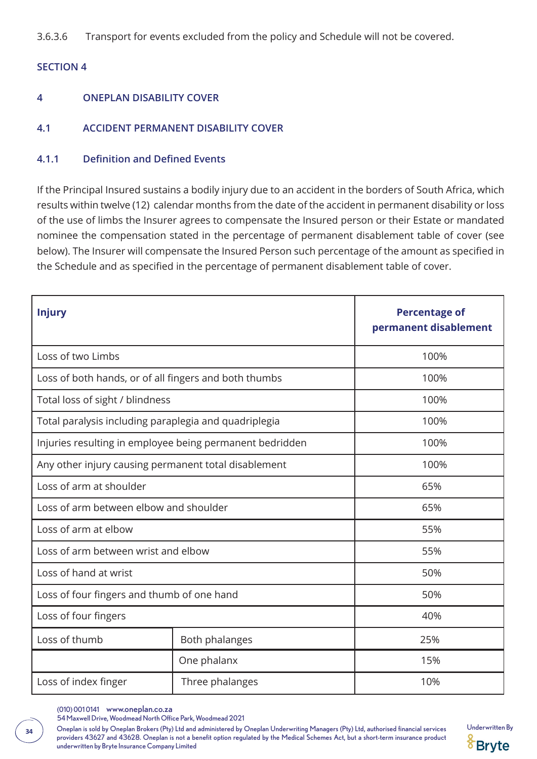3.6.3.6 Transport for events excluded from the policy and Schedule will not be covered.

#### **SECTION 4**

- **4 ONEPLAN DISABILITY COVER**
- **4.1 ACCIDENT PERMANENT DISABILITY COVER**

#### **4.1.1 Definition and Defined Events**

If the Principal Insured sustains a bodily injury due to an accident in the borders of South Africa, which results within twelve (12) calendar months from the date of the accident in permanent disability or loss of the use of limbs the Insurer agrees to compensate the Insured person or their Estate or mandated nominee the compensation stated in the percentage of permanent disablement table of cover (see below). The Insurer will compensate the Insured Person such percentage of the amount as specified in the Schedule and as specified in the percentage of permanent disablement table of cover.

| <b>Injury</b>                                            |                 | <b>Percentage of</b><br>permanent disablement |
|----------------------------------------------------------|-----------------|-----------------------------------------------|
| Loss of two Limbs                                        |                 | 100%                                          |
| Loss of both hands, or of all fingers and both thumbs    |                 | 100%                                          |
| Total loss of sight / blindness                          |                 | 100%                                          |
| Total paralysis including paraplegia and quadriplegia    |                 | 100%                                          |
| Injuries resulting in employee being permanent bedridden |                 | 100%                                          |
| Any other injury causing permanent total disablement     |                 | 100%                                          |
| Loss of arm at shoulder                                  |                 | 65%                                           |
| Loss of arm between elbow and shoulder                   |                 | 65%                                           |
| Loss of arm at elbow                                     |                 | 55%                                           |
| Loss of arm between wrist and elbow                      |                 | 55%                                           |
| Loss of hand at wrist                                    |                 | 50%                                           |
| Loss of four fingers and thumb of one hand               |                 | 50%                                           |
| Loss of four fingers                                     |                 | 40%                                           |
| Loss of thumb                                            | Both phalanges  | 25%                                           |
|                                                          | One phalanx     | 15%                                           |
| Loss of index finger                                     | Three phalanges | 10%                                           |

<sup>(010) 001 0141</sup> www.oneplan.co.za

54 Maxwell Drive, Woodmead North Office Park, Woodmead 2021

Oneplan is sold by Oneplan Brokers (Pty) Ltd and administered by Oneplan Underwriting Managers (Pty) Ltd, authorised financial services Underwritten By **<sup>34</sup>** providers 43627 and 43628. Oneplan is not a benefit option regulated by the Medical Schemes Act, but a short-term insurance product underwritten by Bryte Insurance Company Limited

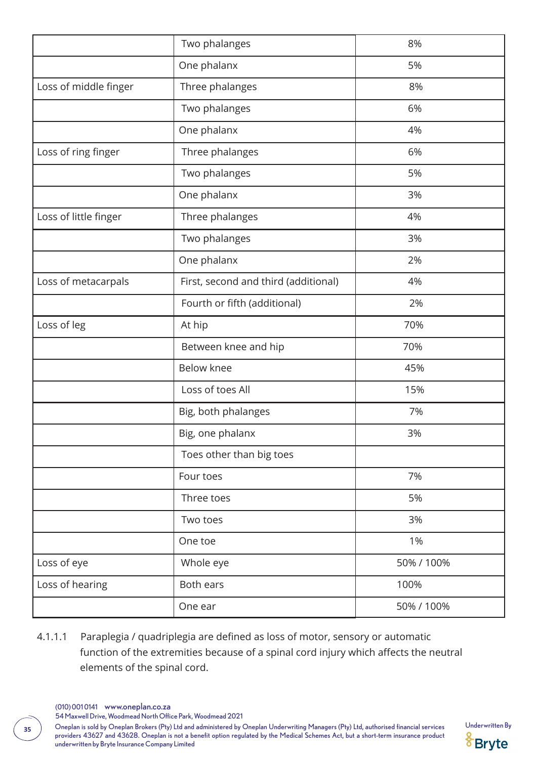|                       | Two phalanges                        | 8%         |
|-----------------------|--------------------------------------|------------|
|                       | One phalanx                          | 5%         |
| Loss of middle finger | Three phalanges                      | 8%         |
|                       | Two phalanges                        | 6%         |
|                       | One phalanx                          | 4%         |
| Loss of ring finger   | Three phalanges                      | 6%         |
|                       | Two phalanges                        | 5%         |
|                       | One phalanx                          | 3%         |
| Loss of little finger | Three phalanges                      | 4%         |
|                       | Two phalanges                        | 3%         |
|                       | One phalanx                          | 2%         |
| Loss of metacarpals   | First, second and third (additional) | 4%         |
|                       | Fourth or fifth (additional)         | 2%         |
| Loss of leg           | At hip                               | 70%        |
|                       | Between knee and hip                 | 70%        |
|                       | <b>Below knee</b>                    | 45%        |
|                       | Loss of toes All                     | 15%        |
|                       | Big, both phalanges                  | 7%         |
|                       | Big, one phalanx                     | 3%         |
|                       | Toes other than big toes             |            |
|                       | Four toes                            | 7%         |
|                       | Three toes                           | 5%         |
|                       | Two toes                             | 3%         |
|                       | One toe                              | 1%         |
| Loss of eye           | Whole eye                            | 50% / 100% |
| Loss of hearing       | Both ears                            | 100%       |
|                       | One ear                              | 50% / 100% |

4.1.1.1 Paraplegia / quadriplegia are defined as loss of motor, sensory or automatic function of the extremities because of a spinal cord injury which affects the neutral elements of the spinal cord.

(010) 001 0141 www.oneplan.co.za

54 Maxwell Drive, Woodmead North Office Park, Woodmead 2021

Oneplan is sold by Oneplan Brokers (Pty) Ltd and administered by Oneplan Underwriting Managers (Pty) Ltd, authorised financial services Underwritten By **<sup>35</sup>** providers 43627 and 43628. Oneplan is not a benefit option regulated by the Medical Schemes Act, but a short-term insurance product underwritten by Bryte Insurance Company Limited

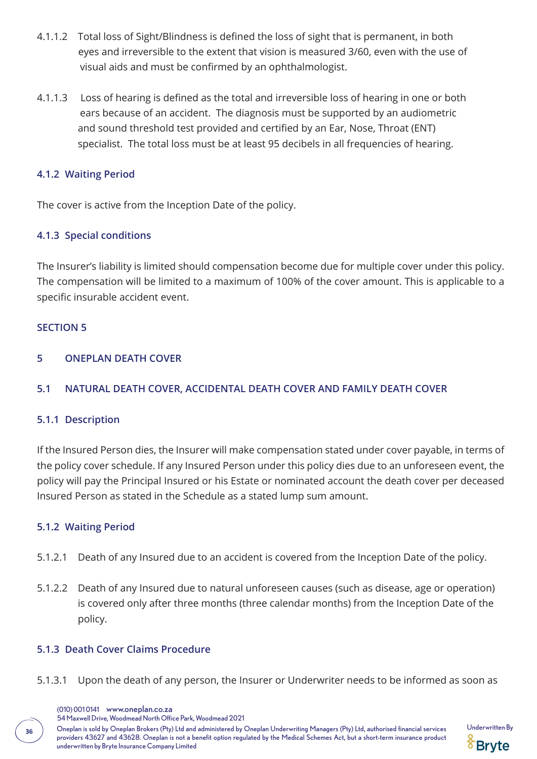- 4.1.1.2 Total loss of Sight/Blindness is defined the loss of sight that is permanent, in both eyes and irreversible to the extent that vision is measured 3/60, even with the use of visual aids and must be confirmed by an ophthalmologist.
- 4.1.1.3 Loss of hearing is defined as the total and irreversible loss of hearing in one or both ears because of an accident. The diagnosis must be supported by an audiometric and sound threshold test provided and certified by an Ear, Nose, Throat (ENT) specialist. The total loss must be at least 95 decibels in all frequencies of hearing.

### **4.1.2 Waiting Period**

The cover is active from the Inception Date of the policy.

### **4.1.3 Special conditions**

The Insurer's liability is limited should compensation become due for multiple cover under this policy. The compensation will be limited to a maximum of 100% of the cover amount. This is applicable to a specific insurable accident event.

#### **SECTION 5**

#### **5 ONEPLAN DEATH COVER**

#### **5.1 NATURAL DEATH COVER, ACCIDENTAL DEATH COVER AND FAMILY DEATH COVER**

#### **5.1.1 Description**

If the Insured Person dies, the Insurer will make compensation stated under cover payable, in terms of the policy cover schedule. If any Insured Person under this policy dies due to an unforeseen event, the policy will pay the Principal Insured or his Estate or nominated account the death cover per deceased Insured Person as stated in the Schedule as a stated lump sum amount.

#### **5.1.2 Waiting Period**

- 5.1.2.1 Death of any Insured due to an accident is covered from the Inception Date of the policy.
- 5.1.2.2 Death of any Insured due to natural unforeseen causes (such as disease, age or operation) is covered only after three months (three calendar months) from the Inception Date of the policy.

#### **5.1.3 Death Cover Claims Procedure**

5.1.3.1 Upon the death of any person, the Insurer or Underwriter needs to be informed as soon as

Oneplan is sold by Oneplan Brokers (Pty) Ltd and administered by Oneplan Underwriting Managers (Pty) Ltd, authorised financial services Underwritten By **<sup>36</sup>** providers 43627 and 43628. Oneplan is not a benefit option regulated by the Medical Schemes Act, but a short-term insurance product underwritten by Bryte Insurance Company Limited



<sup>(010) 001 0141</sup> www.oneplan.co.za

<sup>54</sup> Maxwell Drive, Woodmead North Office Park, Woodmead 2021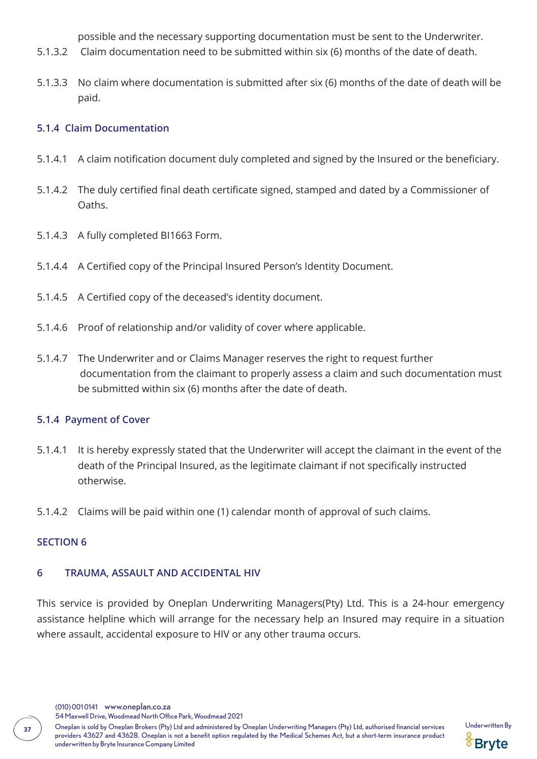possible and the necessary supporting documentation must be sent to the Underwriter.

- 5.1.3.2 Claim documentation need to be submitted within six (6) months of the date of death.
- 5.1.3.3 No claim where documentation is submitted after six (6) months of the date of death will be paid.

### **5.1.4 Claim Documentation**

- 5.1.4.1 A claim notification document duly completed and signed by the Insured or the beneficiary.
- 5.1.4.2 The duly certified final death certificate signed, stamped and dated by a Commissioner of Oaths.
- 5.1.4.3 A fully completed BI1663 Form.
- 5.1.4.4 A Certified copy of the Principal Insured Person's Identity Document.
- 5.1.4.5 A Certified copy of the deceased's identity document.
- 5.1.4.6 Proof of relationship and/or validity of cover where applicable.
- 5.1.4.7 The Underwriter and or Claims Manager reserves the right to request further documentation from the claimant to properly assess a claim and such documentation must be submitted within six (6) months after the date of death.

#### **5.1.4 Payment of Cover**

- 5.1.4.1 It is hereby expressly stated that the Underwriter will accept the claimant in the event of the death of the Principal Insured, as the legitimate claimant if not specifically instructed otherwise.
- 5.1.4.2 Claims will be paid within one (1) calendar month of approval of such claims.

#### **SECTION 6**

#### **6 TRAUMA, ASSAULT AND ACCIDENTAL HIV**

This service is provided by Oneplan Underwriting Managers(Pty) Ltd. This is a 24-hour emergency assistance helpline which will arrange for the necessary help an Insured may require in a situation where assault, accidental exposure to HIV or any other trauma occurs.

(010) 001 0141 www.oneplan.co.za

54 Maxwell Drive, Woodmead North Office Park, Woodmead 2021

Oneplan is sold by Oneplan Brokers (Pty) Ltd and administered by Oneplan Underwriting Managers (Pty) Ltd, authorised financial services Underwritten By **<sup>37</sup>** providers 43627 and 43628. Oneplan is not a benefit option regulated by the Medical Schemes Act, but a short-term insurance product underwritten by Bryte Insurance Company Limited

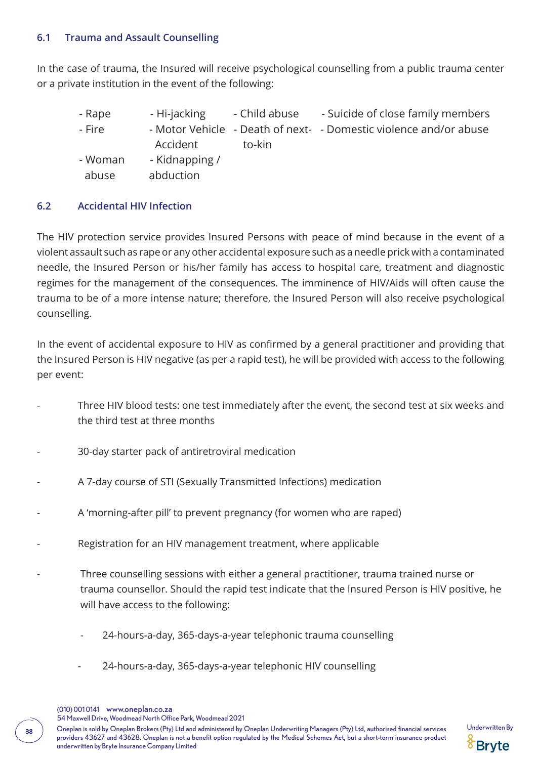### **6.1 Trauma and Assault Counselling**

In the case of trauma, the Insured will receive psychological counselling from a public trauma center or a private institution in the event of the following:

- Rape Thi-jacking Child abuse Suicide of close family members - Fire - Motor Vehicle - Death of next- - Domestic violence and/or abuse Accident to-kin
- Woman Kidnapping /
	- abuse abduction

### **6.2 Accidental HIV Infection**

The HIV protection service provides Insured Persons with peace of mind because in the event of a violent assault such as rape or any other accidental exposure such as a needle prick with a contaminated needle, the Insured Person or his/her family has access to hospital care, treatment and diagnostic regimes for the management of the consequences. The imminence of HIV/Aids will often cause the trauma to be of a more intense nature; therefore, the Insured Person will also receive psychological counselling.

In the event of accidental exposure to HIV as confirmed by a general practitioner and providing that the Insured Person is HIV negative (as per a rapid test), he will be provided with access to the following per event:

- Three HIV blood tests: one test immediately after the event, the second test at six weeks and the third test at three months
- 30-day starter pack of antiretroviral medication
- A 7-day course of STI (Sexually Transmitted Infections) medication
- A 'morning-after pill' to prevent pregnancy (for women who are raped)
- Registration for an HIV management treatment, where applicable
- Three counselling sessions with either a general practitioner, trauma trained nurse or trauma counsellor. Should the rapid test indicate that the Insured Person is HIV positive, he will have access to the following:
	- 24-hours-a-day, 365-days-a-year telephonic trauma counselling
	- 24-hours-a-day, 365-days-a-year telephonic HIV counselling

Oneplan is sold by Oneplan Brokers (Pty) Ltd and administered by Oneplan Underwriting Managers (Pty) Ltd, authorised financial services Underwritten By **<sup>38</sup>** providers 43627 and 43628. Oneplan is not a benefit option regulated by the Medical Schemes Act, but a short-term insurance product underwritten by Bryte Insurance Company Limited

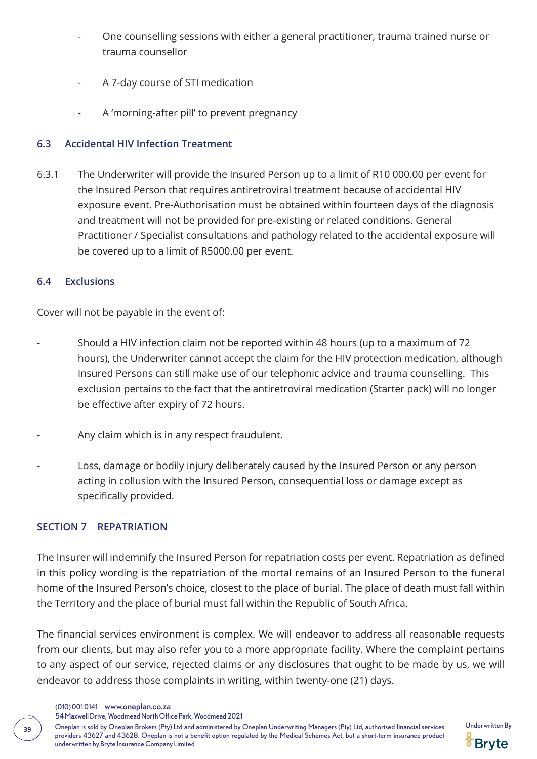- One counselling sessions with either a general practitioner, trauma trained nurse or trauma counsellor
- A 7-day course of STI medication
- A 'morning-after pill' to prevent pregnancy

### **6.3 Accidental HIV Infection Treatment**

6.3.1 The Underwriter will provide the Insured Person up to a limit of R10 000.00 per event for the Insured Person that requires antiretroviral treatment because of accidental HIV exposure event. Pre-Authorisation must be obtained within fourteen days of the diagnosis and treatment will not be provided for pre-existing or related conditions. General Practitioner / Specialist consultations and pathology related to the accidental exposure will be covered up to a limit of R5000.00 per event.

### **6.4 Exclusions**

Cover will not be payable in the event of:

- Should a HIV infection claim not be reported within 48 hours (up to a maximum of 72 hours), the Underwriter cannot accept the claim for the HIV protection medication, although Insured Persons can still make use of our telephonic advice and trauma counselling. This exclusion pertains to the fact that the antiretroviral medication (Starter pack) will no longer be effective after expiry of 72 hours.
- Any claim which is in any respect fraudulent.
- Loss, damage or bodily injury deliberately caused by the Insured Person or any person acting in collusion with the Insured Person, consequential loss or damage except as specifically provided.

### **SECTION 7 REPATRIATION**

The Insurer will indemnify the Insured Person for repatriation costs per event. Repatriation as defined in this policy wording is the repatriation of the mortal remains of an Insured Person to the funeral home of the Insured Person's choice, closest to the place of burial. The place of death must fall within the Territory and the place of burial must fall within the Republic of South Africa.

The financial services environment is complex. We will endeavor to address all reasonable requests from our clients, but may also refer you to a more appropriate facility. Where the complaint pertains to any aspect of our service, rejected claims or any disclosures that ought to be made by us, we will endeavor to address those complaints in writing, within twenty-one (21) days.

(010) 001 0141 www.oneplan.co.za

54 Maxwell Drive, Woodmead North Office Park, Woodmead 2021

Oneplan is sold by Oneplan Brokers (Pty) Ltd and administered by Oneplan Underwriting Managers (Pty) Ltd, authorised financial services Underwritten By **<sup>39</sup>** providers 43627 and 43628. Oneplan is not a benefit option regulated by the Medical Schemes Act, but a short-term insurance product underwritten by Bryte Insurance Company Limited

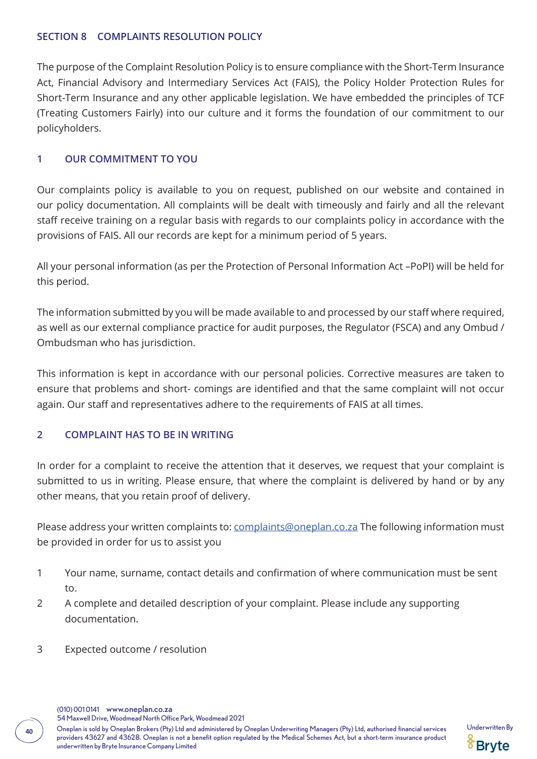#### **SECTION 8 COMPLAINTS RESOLUTION POLICY**

The purpose of the Complaint Resolution Policy is to ensure compliance with the Short-Term Insurance Act, Financial Advisory and Intermediary Services Act (FAIS), the Policy Holder Protection Rules for Short-Term Insurance and any other applicable legislation. We have embedded the principles of TCF (Treating Customers Fairly) into our culture and it forms the foundation of our commitment to our policyholders.

### **1 OUR COMMITMENT TO YOU**

Our complaints policy is available to you on request, published on our website and contained in our policy documentation. All complaints will be dealt with timeously and fairly and all the relevant staff receive training on a regular basis with regards to our complaints policy in accordance with the provisions of FAIS. All our records are kept for a minimum period of 5 years.

All your personal information (as per the Protection of Personal Information Act –PoPI) will be held for this period.

The information submitted by you will be made available to and processed by our staff where required, as well as our external compliance practice for audit purposes, the Regulator (FSCA) and any Ombud / Ombudsman who has jurisdiction.

This information is kept in accordance with our personal policies. Corrective measures are taken to ensure that problems and short- comings are identified and that the same complaint will not occur again. Our staff and representatives adhere to the requirements of FAIS at all times.

# **2 COMPLAINT HAS TO BE IN WRITING**

In order for a complaint to receive the attention that it deserves, we request that your complaint is submitted to us in writing. Please ensure, that where the complaint is delivered by hand or by any other means, that you retain proof of delivery.

Please address your written complaints to: complaints@oneplan.co.za The following information must be provided in order for us to assist you

- 1 Your name, surname, contact details and confirmation of where communication must be sent to.
- 2 A complete and detailed description of your complaint. Please include any supporting documentation.
- 3 Expected outcome / resolution



Oneplan is sold by Oneplan Brokers (Pty) Ltd and administered by Oneplan Underwriting Managers (Pty) Ltd, authorised financial services Underwritten By **<sup>40</sup>** providers 43627 and 43628. Oneplan is not a benefit option regulated by the Medical Schemes Act, but a short-term insurance product underwritten by Bryte Insurance Company Limited

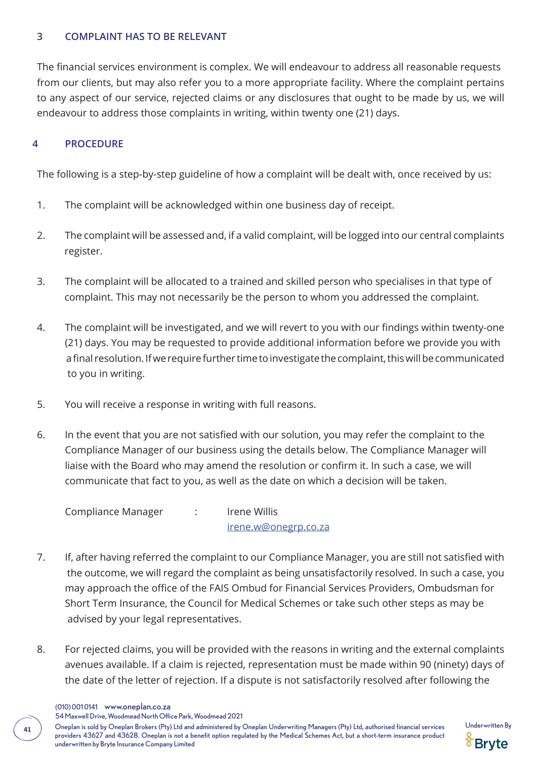#### **3 COMPLAINT HAS TO BE RELEVANT**

The financial services environment is complex. We will endeavour to address all reasonable requests from our clients, but may also refer you to a more appropriate facility. Where the complaint pertains to any aspect of our service, rejected claims or any disclosures that ought to be made by us, we will endeavour to address those complaints in writing, within twenty one (21) days.

### **4 PROCEDURE**

The following is a step-by-step guideline of how a complaint will be dealt with, once received by us:

- 1. The complaint will be acknowledged within one business day of receipt.
- 2. The complaint will be assessed and, if a valid complaint, will be logged into our central complaints register.
- 3. The complaint will be allocated to a trained and skilled person who specialises in that type of complaint. This may not necessarily be the person to whom you addressed the complaint.
- 4. The complaint will be investigated, and we will revert to you with our findings within twenty-one (21) days. You may be requested to provide additional information before we provide you with a final resolution. If we require further time to investigate the complaint, this will be communicated to you in writing.
- 5. You will receive a response in writing with full reasons.
- 6. In the event that you are not satisfied with our solution, you may refer the complaint to the Compliance Manager of our business using the details below. The Compliance Manager will liaise with the Board who may amend the resolution or confirm it. In such a case, we will communicate that fact to you, as well as the date on which a decision will be taken.

Compliance Manager : Irene Willis irene.w@onegrp.co.za

- 7. If, after having referred the complaint to our Compliance Manager, you are still not satisfied with the outcome, we will regard the complaint as being unsatisfactorily resolved. In such a case, you may approach the office of the FAIS Ombud for Financial Services Providers, Ombudsman for Short Term Insurance, the Council for Medical Schemes or take such other steps as may be advised by your legal representatives.
- 8. For rejected claims, you will be provided with the reasons in writing and the external complaints avenues available. If a claim is rejected, representation must be made within 90 (ninety) days of the date of the letter of rejection. If a dispute is not satisfactorily resolved after following the
	- (010) 001 0141 www.oneplan.co.za

54 Maxwell Drive, Woodmead North Office Park, Woodmead 2021

Oneplan is sold by Oneplan Brokers (Pty) Ltd and administered by Oneplan Underwriting Managers (Pty) Ltd, authorised financial services Underwritten By **<sup>41</sup>** providers 43627 and 43628. Oneplan is not a benefit option regulated by the Medical Schemes Act, but a short-term insurance product underwritten by Bryte Insurance Company Limited

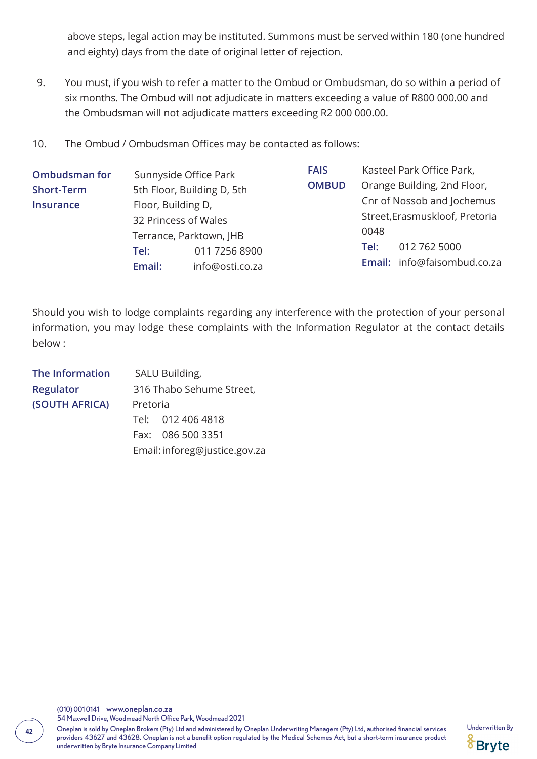above steps, legal action may be instituted. Summons must be served within 180 (one hundred and eighty) days from the date of original letter of rejection.

- 9. You must, if you wish to refer a matter to the Ombud or Ombudsman, do so within a period of six months. The Ombud will not adjudicate in matters exceeding a value of R800 000.00 and the Ombudsman will not adjudicate matters exceeding R2 000 000.00.
- 10. The Ombud / Ombudsman Offices may be contacted as follows:

| <b>Ombudsman for</b> | Sunnyside Office Park<br>5th Floor, Building D, 5th<br>Floor, Building D,<br>32 Princess of Wales |                 | <b>FAIS</b>  |                             | Kasteel Park Office Park,      |
|----------------------|---------------------------------------------------------------------------------------------------|-----------------|--------------|-----------------------------|--------------------------------|
| <b>Short-Term</b>    |                                                                                                   |                 | <b>OMBUD</b> | Orange Building, 2nd Floor, |                                |
| <b>Insurance</b>     |                                                                                                   |                 |              |                             | Cnr of Nossob and Jochemus     |
|                      |                                                                                                   |                 |              |                             | Street, Erasmuskloof, Pretoria |
|                      | Terrance, Parktown, JHB                                                                           |                 |              | 0048                        |                                |
|                      | Tel:                                                                                              | 011 7256 8900   |              | Tel:                        | 012 762 5000                   |
|                      | Email:                                                                                            | info@osti.co.za |              |                             | Email: info@faisombud.co.za    |

Should you wish to lodge complaints regarding any interference with the protection of your personal information, you may lodge these complaints with the Information Regulator at the contact details below :

| SALU Building,           |                               |  |
|--------------------------|-------------------------------|--|
| 316 Thabo Sehume Street, |                               |  |
| Pretoria                 |                               |  |
|                          | Tel: 012 406 4818             |  |
|                          | Fax: 086 500 3351             |  |
|                          | Email: inforeg@justice.gov.za |  |
|                          |                               |  |

(010) 001 0141 www.oneplan.co.za 54 Maxwell Drive, Woodmead North Office Park, Woodmead 2021

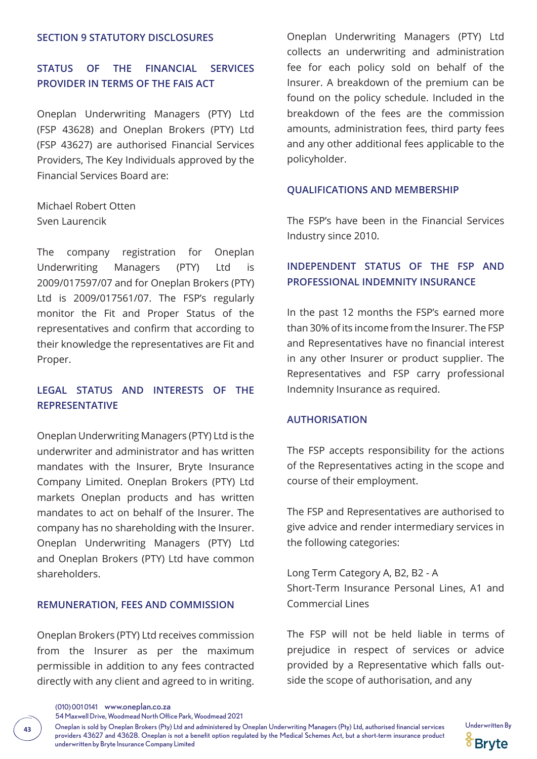#### **SECTION 9 STATUTORY DISCLOSURES**

# **STATUS OF THE FINANCIAL SERVICES PROVIDER IN TERMS OF THE FAIS ACT**

Oneplan Underwriting Managers (PTY) Ltd (FSP 43628) and Oneplan Brokers (PTY) Ltd (FSP 43627) are authorised Financial Services Providers, The Key Individuals approved by the Financial Services Board are:

Michael Robert Otten Sven Laurencik

The company registration for Oneplan Underwriting Managers (PTY) Ltd is 2009/017597/07 and for Oneplan Brokers (PTY) Ltd is 2009/017561/07. The FSP's regularly monitor the Fit and Proper Status of the representatives and confirm that according to their knowledge the representatives are Fit and Proper.

# **LEGAL STATUS AND INTERESTS OF THE REPRESENTATIVE**

Oneplan Underwriting Managers (PTY) Ltd is the underwriter and administrator and has written mandates with the Insurer, Bryte Insurance Company Limited. Oneplan Brokers (PTY) Ltd markets Oneplan products and has written mandates to act on behalf of the Insurer. The company has no shareholding with the Insurer. Oneplan Underwriting Managers (PTY) Ltd and Oneplan Brokers (PTY) Ltd have common shareholders.

### **REMUNERATION, FEES AND COMMISSION**

Oneplan Brokers (PTY) Ltd receives commission from the Insurer as per the maximum permissible in addition to any fees contracted directly with any client and agreed to in writing.

Oneplan Underwriting Managers (PTY) Ltd collects an underwriting and administration fee for each policy sold on behalf of the Insurer. A breakdown of the premium can be found on the policy schedule. Included in the breakdown of the fees are the commission amounts, administration fees, third party fees and any other additional fees applicable to the policyholder.

#### **QUALIFICATIONS AND MEMBERSHIP**

The FSP's have been in the Financial Services Industry since 2010.

# **INDEPENDENT STATUS OF THE FSP AND PROFESSIONAL INDEMNITY INSURANCE**

In the past 12 months the FSP's earned more than 30% of its income from the Insurer. The FSP and Representatives have no financial interest in any other Insurer or product supplier. The Representatives and FSP carry professional Indemnity Insurance as required.

#### **AUTHORISATION**

The FSP accepts responsibility for the actions of the Representatives acting in the scope and course of their employment.

The FSP and Representatives are authorised to give advice and render intermediary services in the following categories:

Long Term Category A, B2, B2 - A Short-Term Insurance Personal Lines, A1 and Commercial Lines

The FSP will not be held liable in terms of prejudice in respect of services or advice provided by a Representative which falls outside the scope of authorisation, and any

54 Maxwell Drive, Woodmead North Office Park, Woodmead 2021

Oneplan is sold by Oneplan Brokers (Pty) Ltd and administered by Oneplan Underwriting Managers (Pty) Ltd, authorised financial services Underwritten By **<sup>43</sup>** providers 43627 and 43628. Oneplan is not a benefit option regulated by the Medical Schemes Act, but a short-term insurance product underwritten by Bryte Insurance Company Limited



<sup>(010) 001 0141</sup> www.oneplan.co.za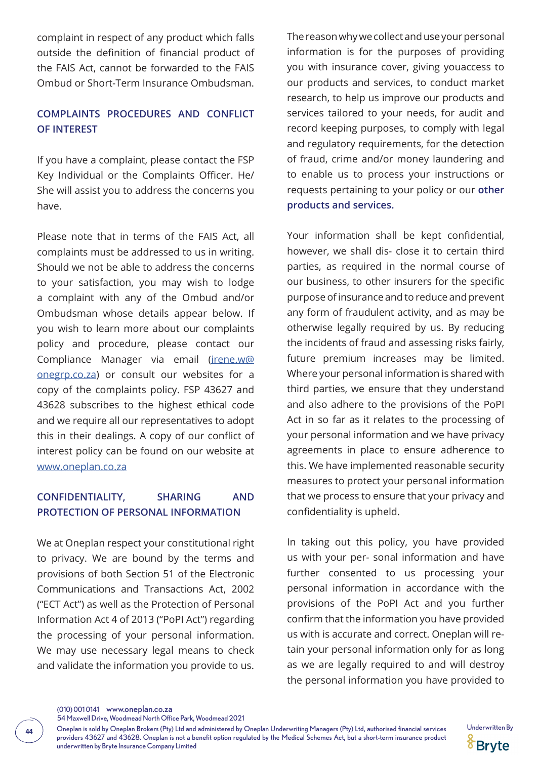complaint in respect of any product which falls outside the definition of financial product of the FAIS Act, cannot be forwarded to the FAIS Ombud or Short-Term Insurance Ombudsman.

# **COMPLAINTS PROCEDURES AND CONFLICT OF INTEREST**

If you have a complaint, please contact the FSP Key Individual or the Complaints Officer. He/ She will assist you to address the concerns you have.

Please note that in terms of the FAIS Act, all complaints must be addressed to us in writing. Should we not be able to address the concerns to your satisfaction, you may wish to lodge a complaint with any of the Ombud and/or Ombudsman whose details appear below. If you wish to learn more about our complaints policy and procedure, please contact our Compliance Manager via email (irene.w@ onegrp.co.za) or consult our websites for a copy of the complaints policy. FSP 43627 and 43628 subscribes to the highest ethical code and we require all our representatives to adopt this in their dealings. A copy of our conflict of interest policy can be found on our website at www.oneplan.co.za

### **CONFIDENTIALITY, SHARING AND PROTECTION OF PERSONAL INFORMATION**

We at Oneplan respect your constitutional right to privacy. We are bound by the terms and provisions of both Section 51 of the Electronic Communications and Transactions Act, 2002 ("ECT Act") as well as the Protection of Personal Information Act 4 of 2013 ("PoPI Act") regarding the processing of your personal information. We may use necessary legal means to check and validate the information you provide to us.

The reason why we collect and use your personal information is for the purposes of providing you with insurance cover, giving youaccess to our products and services, to conduct market research, to help us improve our products and services tailored to your needs, for audit and record keeping purposes, to comply with legal and regulatory requirements, for the detection of fraud, crime and/or money laundering and to enable us to process your instructions or requests pertaining to your policy or our **other products and services.**

Your information shall be kept confidential, however, we shall dis- close it to certain third parties, as required in the normal course of our business, to other insurers for the specific purpose of insurance and to reduce and prevent any form of fraudulent activity, and as may be otherwise legally required by us. By reducing the incidents of fraud and assessing risks fairly, future premium increases may be limited. Where your personal information is shared with third parties, we ensure that they understand and also adhere to the provisions of the PoPI Act in so far as it relates to the processing of your personal information and we have privacy agreements in place to ensure adherence to this. We have implemented reasonable security measures to protect your personal information that we process to ensure that your privacy and confidentiality is upheld.

In taking out this policy, you have provided us with your per- sonal information and have further consented to us processing your personal information in accordance with the provisions of the PoPI Act and you further confirm that the information you have provided us with is accurate and correct. Oneplan will retain your personal information only for as long as we are legally required to and will destroy the personal information you have provided to

Oneplan is sold by Oneplan Brokers (Pty) Ltd and administered by Oneplan Underwriting Managers (Pty) Ltd, authorised financial services Underwritten By **<sup>44</sup>** providers 43627 and 43628. Oneplan is not a benefit option regulated by the Medical Schemes Act, but a short-term insurance product underwritten by Bryte Insurance Company Limited



<sup>54</sup> Maxwell Drive, Woodmead North Office Park, Woodmead 2021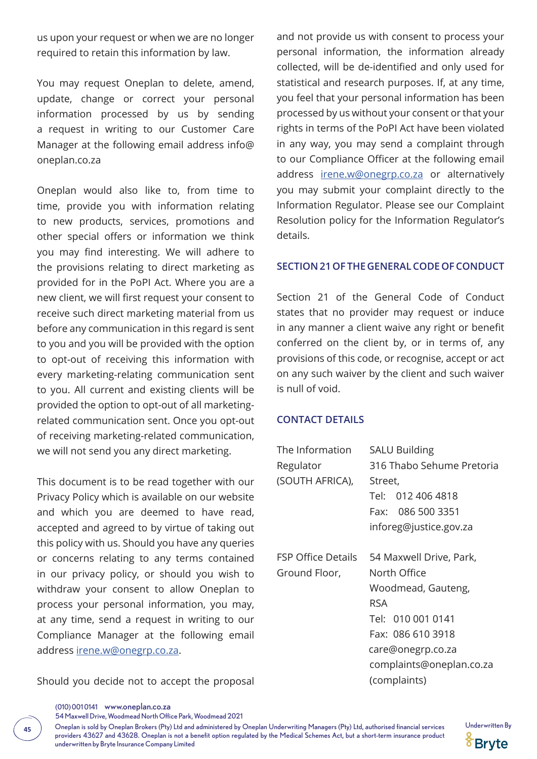us upon your request or when we are no longer required to retain this information by law.

You may request Oneplan to delete, amend, update, change or correct your personal information processed by us by sending a request in writing to our Customer Care Manager at the following email address info@ oneplan.co.za

Oneplan would also like to, from time to time, provide you with information relating to new products, services, promotions and other special offers or information we think you may find interesting. We will adhere to the provisions relating to direct marketing as provided for in the PoPI Act. Where you are a new client, we will first request your consent to receive such direct marketing material from us before any communication in this regard is sent to you and you will be provided with the option to opt-out of receiving this information with every marketing-relating communication sent to you. All current and existing clients will be provided the option to opt-out of all marketingrelated communication sent. Once you opt-out of receiving marketing-related communication, we will not send you any direct marketing.

This document is to be read together with our Privacy Policy which is available on our website and which you are deemed to have read, accepted and agreed to by virtue of taking out this policy with us. Should you have any queries or concerns relating to any terms contained in our privacy policy, or should you wish to withdraw your consent to allow Oneplan to process your personal information, you may, at any time, send a request in writing to our Compliance Manager at the following email address irene.w@onegrp.co.za.

Should you decide not to accept the proposal

and not provide us with consent to process your personal information, the information already collected, will be de-identified and only used for statistical and research purposes. If, at any time, you feel that your personal information has been processed by us without your consent or that your rights in terms of the PoPI Act have been violated in any way, you may send a complaint through to our Compliance Officer at the following email address irene.w@onegrp.co.za or alternatively you may submit your complaint directly to the Information Regulator. Please see our Complaint Resolution policy for the Information Regulator's details.

#### **SECTION 21 OF THE GENERAL CODE OF CONDUCT**

Section 21 of the General Code of Conduct states that no provider may request or induce in any manner a client waive any right or benefit conferred on the client by, or in terms of, any provisions of this code, or recognise, accept or act on any such waiver by the client and such waiver is null of void.

#### **CONTACT DETAILS**

| The Information           | <b>SALU Building</b>      |
|---------------------------|---------------------------|
| Regulator                 | 316 Thabo Sehume Pretoria |
| (SOUTH AFRICA),           | Street,                   |
|                           | Tel: 012 406 4818         |
|                           | Fax: 086 500 3351         |
|                           | inforeg@justice.gov.za    |
| <b>FSP Office Details</b> | 54 Maxwell Drive, Park,   |
| Ground Floor,             | North Office              |
|                           | Woodmead, Gauteng,        |
|                           | <b>RSA</b>                |
|                           | Tel: 010 001 0141         |
|                           | Fax: 086 610 3918         |
|                           | care@onegrp.co.za         |
|                           | complaints@oneplan.co.za  |
|                           | (complaints)              |

54 Maxwell Drive, Woodmead North Office Park, Woodmead 2021

Oneplan is sold by Oneplan Brokers (Pty) Ltd and administered by Oneplan Underwriting Managers (Pty) Ltd, authorised financial services Underwritten By **<sup>45</sup>** providers 43627 and 43628. Oneplan is not a benefit option regulated by the Medical Schemes Act, but a short-term insurance product underwritten by Bryte Insurance Company Limited



<sup>(010) 001 0141</sup> www.oneplan.co.za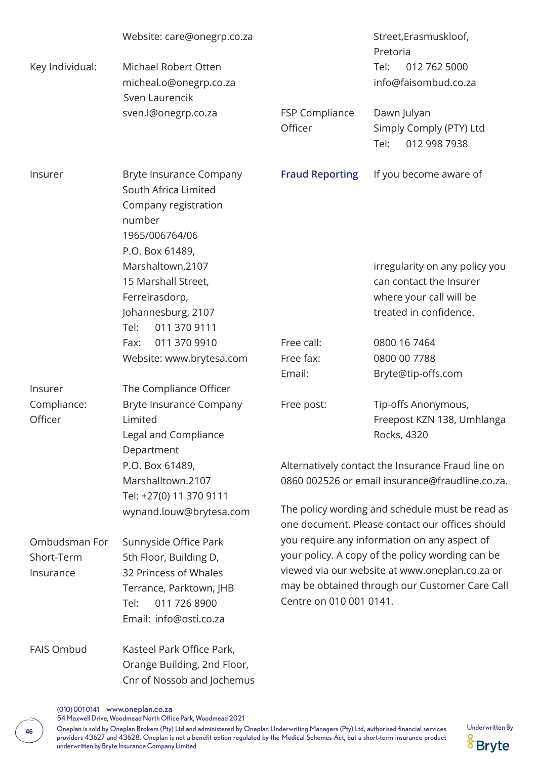|                                          | Website: care@onegrp.co.za                                                                                                                            |                                                                                                                                                                                                                                 | Street, Erasmuskloof,<br>Pretoria                                                                              |  |
|------------------------------------------|-------------------------------------------------------------------------------------------------------------------------------------------------------|---------------------------------------------------------------------------------------------------------------------------------------------------------------------------------------------------------------------------------|----------------------------------------------------------------------------------------------------------------|--|
| Key Individual:                          | Michael Robert Otten<br>micheal.o@onegrp.co.za<br>Sven Laurencik                                                                                      |                                                                                                                                                                                                                                 | Tel:<br>012 762 5000<br>info@faisombud.co.za                                                                   |  |
|                                          | sven.l@onegrp.co.za                                                                                                                                   | FSP Compliance<br>Officer                                                                                                                                                                                                       | Dawn Julyan<br>Simply Comply (PTY) Ltd<br>Tel:<br>012 998 7938                                                 |  |
| Insurer                                  | Bryte Insurance Company<br>South Africa Limited<br>Company registration<br>number<br>1965/006764/06<br>P.O. Box 61489,                                | <b>Fraud Reporting</b>                                                                                                                                                                                                          | If you become aware of                                                                                         |  |
|                                          | Marshaltown, 2107<br>15 Marshall Street,<br>Ferreirasdorp,<br>Johannesburg, 2107<br>Tel:<br>011 370 9111                                              |                                                                                                                                                                                                                                 | irregularity on any policy you<br>can contact the Insurer<br>where your call will be<br>treated in confidence. |  |
|                                          | 011 370 9910<br>Fax:                                                                                                                                  | Free call:                                                                                                                                                                                                                      | 0800 16 7464                                                                                                   |  |
|                                          | Website: www.brytesa.com                                                                                                                              | Free fax:                                                                                                                                                                                                                       | 0800 00 7788                                                                                                   |  |
|                                          |                                                                                                                                                       | Email:                                                                                                                                                                                                                          | Bryte@tip-offs.com                                                                                             |  |
| Insurer                                  | The Compliance Officer                                                                                                                                |                                                                                                                                                                                                                                 |                                                                                                                |  |
| Compliance:<br>Officer                   | Bryte Insurance Company<br>Limited<br>Legal and Compliance<br>Department                                                                              | Free post:                                                                                                                                                                                                                      | Tip-offs Anonymous,<br>Freepost KZN 138, Umhlanga<br>Rocks, 4320                                               |  |
|                                          | P.O. Box 61489,<br>Marshalltown.2107<br>Tel: +27(0) 11 370 9111                                                                                       | Alternatively contact the Insurance Fraud line on<br>0860 002526 or email insurance@fraudline.co.za.                                                                                                                            |                                                                                                                |  |
|                                          | wynand.louw@brytesa.com                                                                                                                               |                                                                                                                                                                                                                                 | The policy wording and schedule must be read as<br>one document. Please contact our offices should             |  |
| Ombudsman For<br>Short-Term<br>Insurance | Sunnyside Office Park<br>5th Floor, Building D,<br>32 Princess of Whales<br>Terrance, Parktown, JHB<br>Tel:<br>011 726 8900<br>Email: info@osti.co.za | you require any information on any aspect of<br>your policy. A copy of the policy wording can be<br>viewed via our website at www.oneplan.co.za or<br>may be obtained through our Customer Care Call<br>Centre on 010 001 0141. |                                                                                                                |  |
| <b>FAIS Ombud</b>                        | Kasteel Park Office Park,<br>Orange Building, 2nd Floor,<br>Cnr of Nossob and Jochemus                                                                |                                                                                                                                                                                                                                 |                                                                                                                |  |

<sup>(010) 001 0141</sup> www.oneplan.co.za

54 Maxwell Drive, Woodmead North Office Park, Woodmead 2021

Oneplan is sold by Oneplan Brokers (Pty) Ltd and administered by Oneplan Underwriting Managers (Pty) Ltd, authorised financial services Underwritten By **<sup>46</sup>** providers 43627 and 43628. Oneplan is not a benefit option regulated by the Medical Schemes Act, but a short-term insurance product underwritten by Bryte Insurance Company Limited